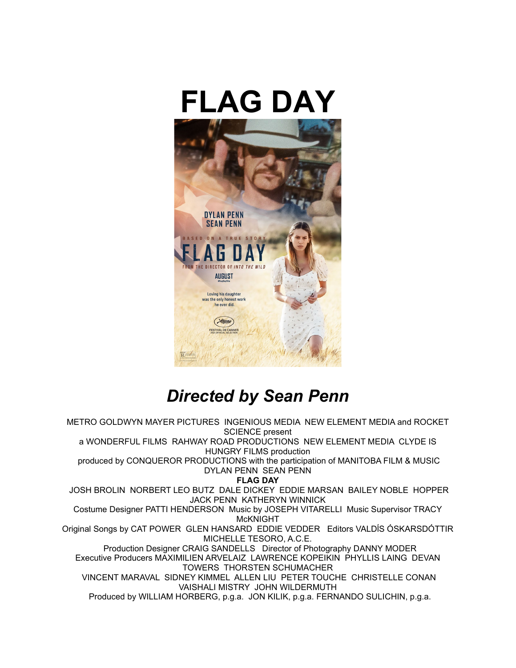



# *Directed by Sean Penn*

METRO GOLDWYN MAYER PICTURES INGENIOUS MEDIA NEW ELEMENT MEDIA and ROCKET SCIENCE present a WONDERFUL FILMS RAHWAY ROAD PRODUCTIONS NEW ELEMENT MEDIA CLYDE IS HUNGRY FILMS production produced by CONQUEROR PRODUCTIONS with the participation of MANITOBA FILM & MUSIC DYLAN PENN SEAN PENN **FLAG DAY** JOSH BROLIN NORBERT LEO BUTZ DALE DICKEY EDDIE MARSAN BAILEY NOBLE HOPPER JACK PENN KATHERYN WINNICK Costume Designer PATTI HENDERSON Music by JOSEPH VITARELLI Music Supervisor TRACY McKNIGHT Original Songs by CAT POWER GLEN HANSARD EDDIE VEDDER Editors VALDĺS ÓSKARSDÓTTIR MICHELLE TESORO, A.C.E. Production Designer CRAIG SANDELLS Director of Photography DANNY MODER Executive Producers MAXIMILIEN ARVELAIZ LAWRENCE KOPEIKIN PHYLLIS LAING DEVAN TOWERS THORSTEN SCHUMACHER VINCENT MARAVAL SIDNEY KIMMEL ALLEN LIU PETER TOUCHE CHRISTELLE CONAN VAISHALI MISTRY JOHN WILDERMUTH Produced by WILLIAM HORBERG, p.g.a. JON KILIK, p.g.a. FERNANDO SULICHIN, p.g.a.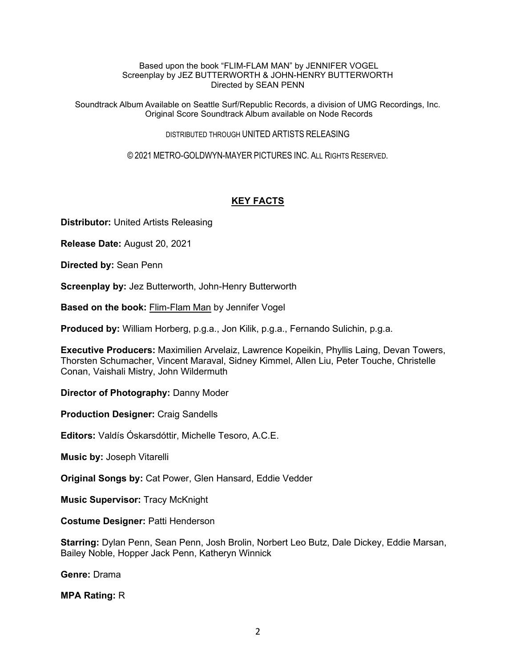#### Based upon the book "FLIM-FLAM MAN" by JENNIFER VOGEL Screenplay by JEZ BUTTERWORTH & JOHN-HENRY BUTTERWORTH Directed by SEAN PENN

Soundtrack Album Available on Seattle Surf/Republic Records, a division of UMG Recordings, Inc. Original Score Soundtrack Album available on Node Records

DISTRIBUTED THROUGH UNITED ARTISTS RELEASING

© 2021 METRO-GOLDWYN-MAYER PICTURES INC. ALL RIGHTS RESERVED.

## **KEY FACTS**

**Distributor:** United Artists Releasing

**Release Date:** August 20, 2021

**Directed by:** Sean Penn

**Screenplay by: Jez Butterworth, John-Henry Butterworth** 

**Based on the book:** Flim-Flam Man by Jennifer Vogel

**Produced by:** William Horberg, p.g.a., Jon Kilik, p.g.a., Fernando Sulichin, p.g.a.

**Executive Producers:** Maximilien Arvelaiz, Lawrence Kopeikin, Phyllis Laing, Devan Towers, Thorsten Schumacher, Vincent Maraval, Sidney Kimmel, Allen Liu, Peter Touche, Christelle Conan, Vaishali Mistry, John Wildermuth

**Director of Photography:** Danny Moder

**Production Designer:** Craig Sandells

**Editors:** Valdís Óskarsdóttir, Michelle Tesoro, A.C.E.

**Music by:** Joseph Vitarelli

**Original Songs by:** Cat Power, Glen Hansard, Eddie Vedder

**Music Supervisor:** Tracy McKnight

**Costume Designer:** Patti Henderson

**Starring:** Dylan Penn, Sean Penn, Josh Brolin, Norbert Leo Butz, Dale Dickey, Eddie Marsan, Bailey Noble, Hopper Jack Penn, Katheryn Winnick

**Genre:** Drama

**MPA Rating:** R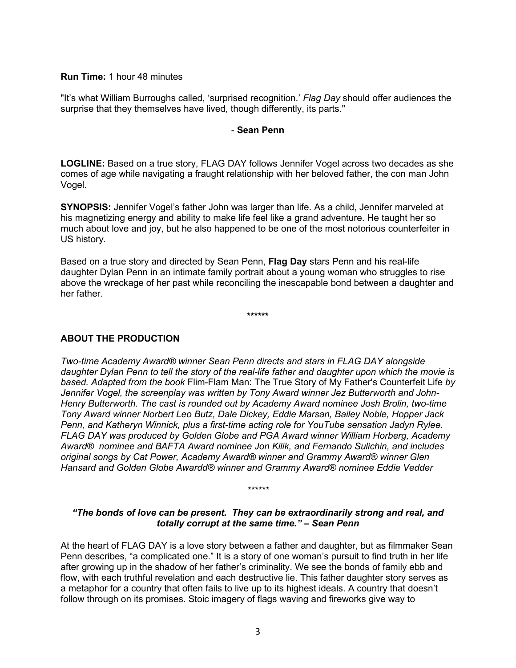**Run Time:** 1 hour 48 minutes

"It's what William Burroughs called, 'surprised recognition.' *Flag Day* should offer audiences the surprise that they themselves have lived, though differently, its parts."

### - **Sean Penn**

**LOGLINE:** Based on a true story, FLAG DAY follows Jennifer Vogel across two decades as she comes of age while navigating a fraught relationship with her beloved father, the con man John Vogel.

**SYNOPSIS:** Jennifer Vogel's father John was larger than life. As a child, Jennifer marveled at his magnetizing energy and ability to make life feel like a grand adventure. He taught her so much about love and joy, but he also happened to be one of the most notorious counterfeiter in US history.

Based on a true story and directed by Sean Penn, **Flag Day** stars Penn and his real-life daughter Dylan Penn in an intimate family portrait about a young woman who struggles to rise above the wreckage of her past while reconciling the inescapable bond between a daughter and her father.

**\*\*\*\*\*\***

## **ABOUT THE PRODUCTION**

*Two-time Academy Award® winner Sean Penn directs and stars in FLAG DAY alongside daughter Dylan Penn to tell the story of the real-life father and daughter upon which the movie is based. Adapted from the book* Flim-Flam Man: The True Story of My Father's Counterfeit Life *by Jennifer Vogel, the screenplay was written by Tony Award winner Jez Butterworth and John-Henry Butterworth. The cast is rounded out by Academy Award nominee Josh Brolin, two-time Tony Award winner Norbert Leo Butz, Dale Dickey, Eddie Marsan, Bailey Noble, Hopper Jack Penn, and Katheryn Winnick, plus a first-time acting role for YouTube sensation Jadyn Rylee. FLAG DAY was produced by Golden Globe and PGA Award winner William Horberg, Academy Award® nominee and BAFTA Award nominee Jon Kilik, and Fernando Sulichin, and includes original songs by Cat Power, Academy Award® winner and Grammy Award® winner Glen Hansard and Golden Globe Awardd® winner and Grammy Award® nominee Eddie Vedder*

*"The bonds of love can be present. They can be extraordinarily strong and real, and totally corrupt at the same time." – Sean Penn*

*\*\*\*\*\*\**

At the heart of FLAG DAY is a love story between a father and daughter, but as filmmaker Sean Penn describes, "a complicated one." It is a story of one woman's pursuit to find truth in her life after growing up in the shadow of her father's criminality. We see the bonds of family ebb and flow, with each truthful revelation and each destructive lie. This father daughter story serves as a metaphor for a country that often fails to live up to its highest ideals. A country that doesn't follow through on its promises. Stoic imagery of flags waving and fireworks give way to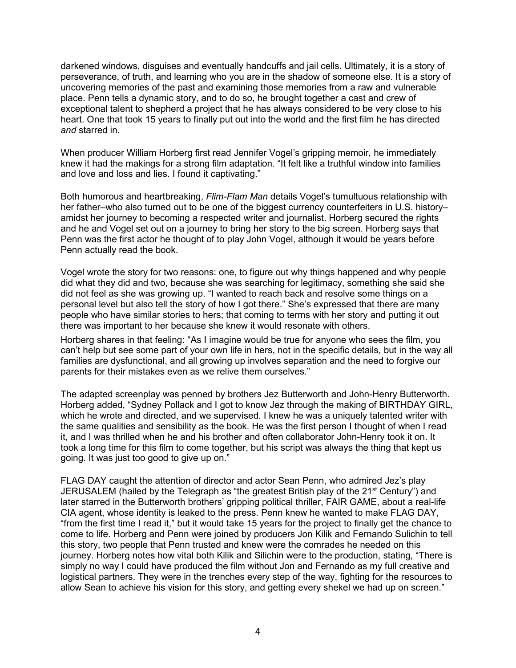darkened windows, disguises and eventually handcuffs and jail cells. Ultimately, it is a story of perseverance, of truth, and learning who you are in the shadow of someone else. It is a story of uncovering memories of the past and examining those memories from a raw and vulnerable place. Penn tells a dynamic story, and to do so, he brought together a cast and crew of exceptional talent to shepherd a project that he has always considered to be very close to his heart. One that took 15 years to finally put out into the world and the first film he has directed *and* starred in.

When producer William Horberg first read Jennifer Vogel's gripping memoir, he immediately knew it had the makings for a strong film adaptation. "It felt like a truthful window into families and love and loss and lies. I found it captivating."

Both humorous and heartbreaking, *Flim-Flam Man* details Vogel's tumultuous relationship with her father–who also turned out to be one of the biggest currency counterfeiters in U.S. history– amidst her journey to becoming a respected writer and journalist. Horberg secured the rights and he and Vogel set out on a journey to bring her story to the big screen. Horberg says that Penn was the first actor he thought of to play John Vogel, although it would be years before Penn actually read the book.

Vogel wrote the story for two reasons: one, to figure out why things happened and why people did what they did and two, because she was searching for legitimacy, something she said she did not feel as she was growing up. "I wanted to reach back and resolve some things on a personal level but also tell the story of how I got there." She's expressed that there are many people who have similar stories to hers; that coming to terms with her story and putting it out there was important to her because she knew it would resonate with others.

Horberg shares in that feeling: "As I imagine would be true for anyone who sees the film, you can't help but see some part of your own life in hers, not in the specific details, but in the way all families are dysfunctional, and all growing up involves separation and the need to forgive our parents for their mistakes even as we relive them ourselves."

The adapted screenplay was penned by brothers Jez Butterworth and John-Henry Butterworth. Horberg added, "Sydney Pollack and I got to know Jez through the making of BIRTHDAY GIRL, which he wrote and directed, and we supervised. I knew he was a uniquely talented writer with the same qualities and sensibility as the book. He was the first person I thought of when I read it, and I was thrilled when he and his brother and often collaborator John-Henry took it on. It took a long time for this film to come together, but his script was always the thing that kept us going. It was just too good to give up on."

FLAG DAY caught the attention of director and actor Sean Penn, who admired Jez's play JERUSALEM (hailed by the Telegraph as "the greatest British play of the  $21<sup>st</sup>$  Century") and later starred in the Butterworth brothers' gripping political thriller, FAIR GAME, about a real-life CIA agent, whose identity is leaked to the press. Penn knew he wanted to make FLAG DAY, "from the first time I read it," but it would take 15 years for the project to finally get the chance to come to life. Horberg and Penn were joined by producers Jon Kilik and Fernando Sulichin to tell this story, two people that Penn trusted and knew were the comrades he needed on this journey. Horberg notes how vital both Kilik and Silichin were to the production, stating, "There is simply no way I could have produced the film without Jon and Fernando as my full creative and logistical partners. They were in the trenches every step of the way, fighting for the resources to allow Sean to achieve his vision for this story, and getting every shekel we had up on screen."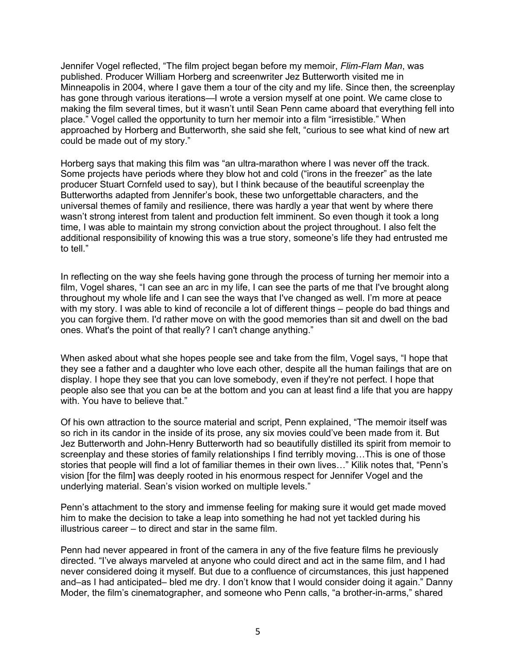Jennifer Vogel reflected, "The film project began before my memoir, *Flim-Flam Man*, was published. Producer William Horberg and screenwriter Jez Butterworth visited me in Minneapolis in 2004, where I gave them a tour of the city and my life. Since then, the screenplay has gone through various iterations—I wrote a version myself at one point. We came close to making the film several times, but it wasn't until Sean Penn came aboard that everything fell into place." Vogel called the opportunity to turn her memoir into a film "irresistible." When approached by Horberg and Butterworth, she said she felt, "curious to see what kind of new art could be made out of my story."

Horberg says that making this film was "an ultra-marathon where I was never off the track. Some projects have periods where they blow hot and cold ("irons in the freezer" as the late producer Stuart Cornfeld used to say), but I think because of the beautiful screenplay the Butterworths adapted from Jennifer's book, these two unforgettable characters, and the universal themes of family and resilience, there was hardly a year that went by where there wasn't strong interest from talent and production felt imminent. So even though it took a long time, I was able to maintain my strong conviction about the project throughout. I also felt the additional responsibility of knowing this was a true story, someone's life they had entrusted me to tell."

In reflecting on the way she feels having gone through the process of turning her memoir into a film, Vogel shares, "I can see an arc in my life, I can see the parts of me that I've brought along throughout my whole life and I can see the ways that I've changed as well. I'm more at peace with my story. I was able to kind of reconcile a lot of different things – people do bad things and you can forgive them. I'd rather move on with the good memories than sit and dwell on the bad ones. What's the point of that really? I can't change anything."

When asked about what she hopes people see and take from the film, Vogel says, "I hope that they see a father and a daughter who love each other, despite all the human failings that are on display. I hope they see that you can love somebody, even if they're not perfect. I hope that people also see that you can be at the bottom and you can at least find a life that you are happy with. You have to believe that."

Of his own attraction to the source material and script, Penn explained, "The memoir itself was so rich in its candor in the inside of its prose, any six movies could've been made from it. But Jez Butterworth and John-Henry Butterworth had so beautifully distilled its spirit from memoir to screenplay and these stories of family relationships I find terribly moving…This is one of those stories that people will find a lot of familiar themes in their own lives…" Kilik notes that, "Penn's vision [for the film] was deeply rooted in his enormous respect for Jennifer Vogel and the underlying material. Sean's vision worked on multiple levels."

Penn's attachment to the story and immense feeling for making sure it would get made moved him to make the decision to take a leap into something he had not yet tackled during his illustrious career – to direct and star in the same film.

Penn had never appeared in front of the camera in any of the five feature films he previously directed. "I've always marveled at anyone who could direct and act in the same film, and I had never considered doing it myself. But due to a confluence of circumstances, this just happened and–as I had anticipated– bled me dry. I don't know that I would consider doing it again." Danny Moder, the film's cinematographer, and someone who Penn calls, "a brother-in-arms," shared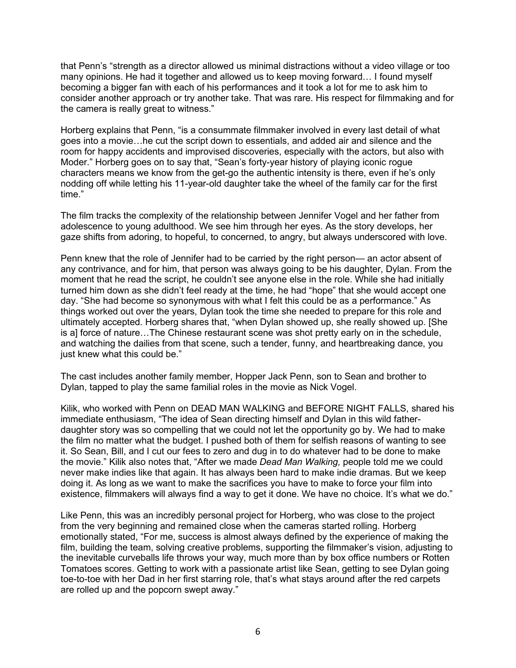that Penn's "strength as a director allowed us minimal distractions without a video village or too many opinions. He had it together and allowed us to keep moving forward… I found myself becoming a bigger fan with each of his performances and it took a lot for me to ask him to consider another approach or try another take. That was rare. His respect for filmmaking and for the camera is really great to witness."

Horberg explains that Penn, "is a consummate filmmaker involved in every last detail of what goes into a movie…he cut the script down to essentials, and added air and silence and the room for happy accidents and improvised discoveries, especially with the actors, but also with Moder." Horberg goes on to say that, "Sean's forty-year history of playing iconic rogue characters means we know from the get-go the authentic intensity is there, even if he's only nodding off while letting his 11-year-old daughter take the wheel of the family car for the first time."

The film tracks the complexity of the relationship between Jennifer Vogel and her father from adolescence to young adulthood. We see him through her eyes. As the story develops, her gaze shifts from adoring, to hopeful, to concerned, to angry, but always underscored with love.

Penn knew that the role of Jennifer had to be carried by the right person— an actor absent of any contrivance, and for him, that person was always going to be his daughter, Dylan. From the moment that he read the script, he couldn't see anyone else in the role. While she had initially turned him down as she didn't feel ready at the time, he had "hope" that she would accept one day. "She had become so synonymous with what I felt this could be as a performance." As things worked out over the years, Dylan took the time she needed to prepare for this role and ultimately accepted. Horberg shares that, "when Dylan showed up, she really showed up. [She is a] force of nature…The Chinese restaurant scene was shot pretty early on in the schedule, and watching the dailies from that scene, such a tender, funny, and heartbreaking dance, you just knew what this could be."

The cast includes another family member, Hopper Jack Penn, son to Sean and brother to Dylan, tapped to play the same familial roles in the movie as Nick Vogel.

Kilik, who worked with Penn on DEAD MAN WALKING and BEFORE NIGHT FALLS, shared his immediate enthusiasm, "The idea of Sean directing himself and Dylan in this wild fatherdaughter story was so compelling that we could not let the opportunity go by. We had to make the film no matter what the budget. I pushed both of them for selfish reasons of wanting to see it. So Sean, Bill, and I cut our fees to zero and dug in to do whatever had to be done to make the movie." Kilik also notes that, "After we made *Dead Man Walking,* people told me we could never make indies like that again. It has always been hard to make indie dramas. But we keep doing it. As long as we want to make the sacrifices you have to make to force your film into existence, filmmakers will always find a way to get it done. We have no choice. It's what we do."

Like Penn, this was an incredibly personal project for Horberg, who was close to the project from the very beginning and remained close when the cameras started rolling. Horberg emotionally stated, "For me, success is almost always defined by the experience of making the film, building the team, solving creative problems, supporting the filmmaker's vision, adjusting to the inevitable curveballs life throws your way, much more than by box office numbers or Rotten Tomatoes scores. Getting to work with a passionate artist like Sean, getting to see Dylan going toe-to-toe with her Dad in her first starring role, that's what stays around after the red carpets are rolled up and the popcorn swept away."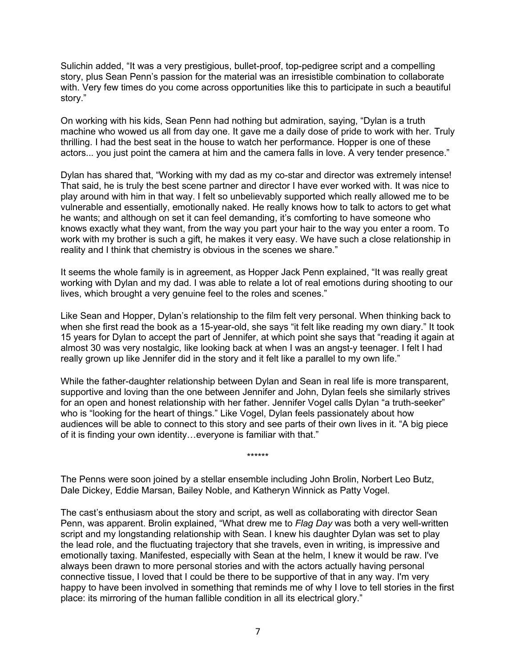Sulichin added, "It was a very prestigious, bullet-proof, top-pedigree script and a compelling story, plus Sean Penn's passion for the material was an irresistible combination to collaborate with. Very few times do you come across opportunities like this to participate in such a beautiful story."

On working with his kids, Sean Penn had nothing but admiration, saying, "Dylan is a truth machine who wowed us all from day one. It gave me a daily dose of pride to work with her. Truly thrilling. I had the best seat in the house to watch her performance. Hopper is one of these actors... you just point the camera at him and the camera falls in love. A very tender presence."

Dylan has shared that, "Working with my dad as my co-star and director was extremely intense! That said, he is truly the best scene partner and director I have ever worked with. It was nice to play around with him in that way. I felt so unbelievably supported which really allowed me to be vulnerable and essentially, emotionally naked. He really knows how to talk to actors to get what he wants; and although on set it can feel demanding, it's comforting to have someone who knows exactly what they want, from the way you part your hair to the way you enter a room. To work with my brother is such a gift, he makes it very easy. We have such a close relationship in reality and I think that chemistry is obvious in the scenes we share."

It seems the whole family is in agreement, as Hopper Jack Penn explained, "It was really great working with Dylan and my dad. I was able to relate a lot of real emotions during shooting to our lives, which brought a very genuine feel to the roles and scenes."

Like Sean and Hopper, Dylan's relationship to the film felt very personal. When thinking back to when she first read the book as a 15-year-old, she says "it felt like reading my own diary." It took 15 years for Dylan to accept the part of Jennifer, at which point she says that "reading it again at almost 30 was very nostalgic, like looking back at when I was an angst-y teenager. I felt I had really grown up like Jennifer did in the story and it felt like a parallel to my own life."

While the father-daughter relationship between Dylan and Sean in real life is more transparent, supportive and loving than the one between Jennifer and John, Dylan feels she similarly strives for an open and honest relationship with her father. Jennifer Vogel calls Dylan "a truth-seeker" who is "looking for the heart of things." Like Vogel, Dylan feels passionately about how audiences will be able to connect to this story and see parts of their own lives in it. "A big piece of it is finding your own identity…everyone is familiar with that."

\*\*\*\*\*\*

The Penns were soon joined by a stellar ensemble including John Brolin, Norbert Leo Butz, Dale Dickey, Eddie Marsan, Bailey Noble, and Katheryn Winnick as Patty Vogel.

The cast's enthusiasm about the story and script, as well as collaborating with director Sean Penn, was apparent. Brolin explained, "What drew me to *Flag Day* was both a very well-written script and my longstanding relationship with Sean. I knew his daughter Dylan was set to play the lead role, and the fluctuating trajectory that she travels, even in writing, is impressive and emotionally taxing. Manifested, especially with Sean at the helm, I knew it would be raw. I've always been drawn to more personal stories and with the actors actually having personal connective tissue, I loved that I could be there to be supportive of that in any way. I'm very happy to have been involved in something that reminds me of why I love to tell stories in the first place: its mirroring of the human fallible condition in all its electrical glory."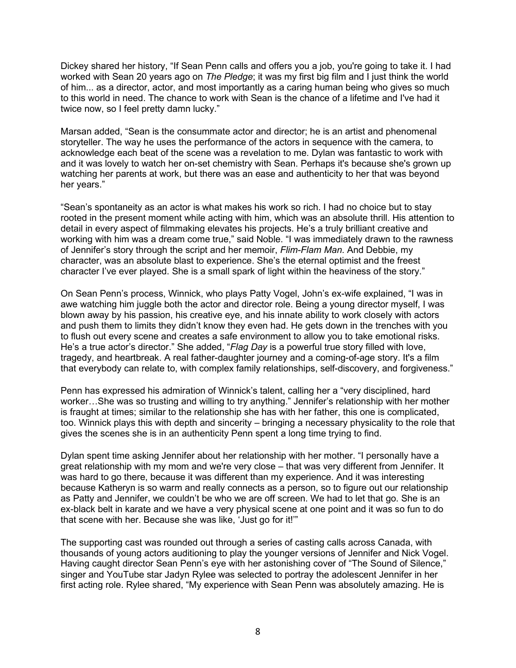Dickey shared her history, "If Sean Penn calls and offers you a job, you're going to take it. I had worked with Sean 20 years ago on *The Pledge*; it was my first big film and I just think the world of him... as a director, actor, and most importantly as a caring human being who gives so much to this world in need. The chance to work with Sean is the chance of a lifetime and I've had it twice now, so I feel pretty damn lucky."

Marsan added, "Sean is the consummate actor and director; he is an artist and phenomenal storyteller. The way he uses the performance of the actors in sequence with the camera, to acknowledge each beat of the scene was a revelation to me. Dylan was fantastic to work with and it was lovely to watch her on-set chemistry with Sean. Perhaps it's because she's grown up watching her parents at work, but there was an ease and authenticity to her that was beyond her years."

"Sean's spontaneity as an actor is what makes his work so rich. I had no choice but to stay rooted in the present moment while acting with him, which was an absolute thrill. His attention to detail in every aspect of filmmaking elevates his projects. He's a truly brilliant creative and working with him was a dream come true," said Noble. "I was immediately drawn to the rawness of Jennifer's story through the script and her memoir, *Flim-Flam Man*. And Debbie, my character, was an absolute blast to experience. She's the eternal optimist and the freest character I've ever played. She is a small spark of light within the heaviness of the story."

On Sean Penn's process, Winnick, who plays Patty Vogel, John's ex-wife explained, "I was in awe watching him juggle both the actor and director role. Being a young director myself, I was blown away by his passion, his creative eye, and his innate ability to work closely with actors and push them to limits they didn't know they even had. He gets down in the trenches with you to flush out every scene and creates a safe environment to allow you to take emotional risks. He's a true actor's director." She added, "*Flag Day* is a powerful true story filled with love, tragedy, and heartbreak. A real father-daughter journey and a coming-of-age story. It's a film that everybody can relate to, with complex family relationships, self-discovery, and forgiveness."

Penn has expressed his admiration of Winnick's talent, calling her a "very disciplined, hard worker…She was so trusting and willing to try anything." Jennifer's relationship with her mother is fraught at times; similar to the relationship she has with her father, this one is complicated, too. Winnick plays this with depth and sincerity – bringing a necessary physicality to the role that gives the scenes she is in an authenticity Penn spent a long time trying to find.

Dylan spent time asking Jennifer about her relationship with her mother. "I personally have a great relationship with my mom and we're very close – that was very different from Jennifer. It was hard to go there, because it was different than my experience. And it was interesting because Katheryn is so warm and really connects as a person, so to figure out our relationship as Patty and Jennifer, we couldn't be who we are off screen. We had to let that go. She is an ex-black belt in karate and we have a very physical scene at one point and it was so fun to do that scene with her. Because she was like, 'Just go for it!'"

The supporting cast was rounded out through a series of casting calls across Canada, with thousands of young actors auditioning to play the younger versions of Jennifer and Nick Vogel. Having caught director Sean Penn's eye with her astonishing cover of "The Sound of Silence," singer and YouTube star Jadyn Rylee was selected to portray the adolescent Jennifer in her first acting role. Rylee shared, "My experience with Sean Penn was absolutely amazing. He is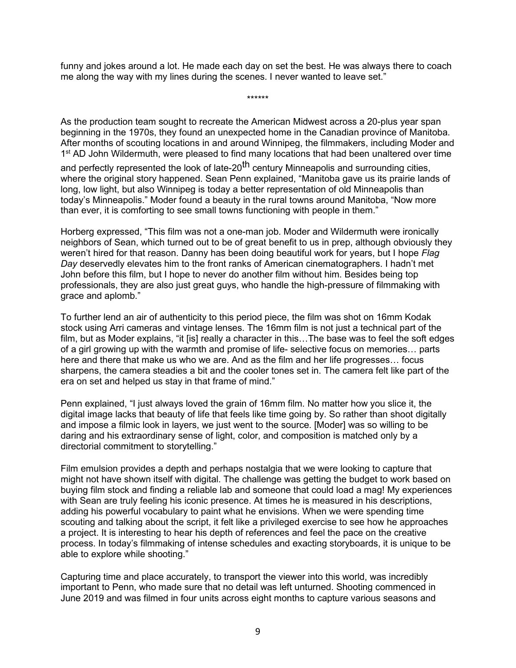funny and jokes around a lot. He made each day on set the best. He was always there to coach me along the way with my lines during the scenes. I never wanted to leave set."

\*\*\*\*\*\*

As the production team sought to recreate the American Midwest across a 20-plus year span beginning in the 1970s, they found an unexpected home in the Canadian province of Manitoba. After months of scouting locations in and around Winnipeg, the filmmakers, including Moder and 1<sup>st</sup> AD John Wildermuth, were pleased to find many locations that had been unaltered over time

and perfectly represented the look of late-20<sup>th</sup> century Minneapolis and surrounding cities, where the original story happened. Sean Penn explained, "Manitoba gave us its prairie lands of long, low light, but also Winnipeg is today a better representation of old Minneapolis than today's Minneapolis." Moder found a beauty in the rural towns around Manitoba, "Now more than ever, it is comforting to see small towns functioning with people in them."

Horberg expressed, "This film was not a one-man job. Moder and Wildermuth were ironically neighbors of Sean, which turned out to be of great benefit to us in prep, although obviously they weren't hired for that reason. Danny has been doing beautiful work for years, but I hope *Flag Day* deservedly elevates him to the front ranks of American cinematographers. I hadn't met John before this film, but I hope to never do another film without him. Besides being top professionals, they are also just great guys, who handle the high-pressure of filmmaking with grace and aplomb."

To further lend an air of authenticity to this period piece, the film was shot on 16mm Kodak stock using Arri cameras and vintage lenses. The 16mm film is not just a technical part of the film, but as Moder explains, "it [is] really a character in this... The base was to feel the soft edges of a girl growing up with the warmth and promise of life- selective focus on memories… parts here and there that make us who we are. And as the film and her life progresses… focus sharpens, the camera steadies a bit and the cooler tones set in. The camera felt like part of the era on set and helped us stay in that frame of mind."

Penn explained, "I just always loved the grain of 16mm film. No matter how you slice it, the digital image lacks that beauty of life that feels like time going by. So rather than shoot digitally and impose a filmic look in layers, we just went to the source. [Moder] was so willing to be daring and his extraordinary sense of light, color, and composition is matched only by a directorial commitment to storytelling."

Film emulsion provides a depth and perhaps nostalgia that we were looking to capture that might not have shown itself with digital. The challenge was getting the budget to work based on buying film stock and finding a reliable lab and someone that could load a mag! My experiences with Sean are truly feeling his iconic presence. At times he is measured in his descriptions, adding his powerful vocabulary to paint what he envisions. When we were spending time scouting and talking about the script, it felt like a privileged exercise to see how he approaches a project. It is interesting to hear his depth of references and feel the pace on the creative process. In today's filmmaking of intense schedules and exacting storyboards, it is unique to be able to explore while shooting."

Capturing time and place accurately, to transport the viewer into this world, was incredibly important to Penn, who made sure that no detail was left unturned. Shooting commenced in June 2019 and was filmed in four units across eight months to capture various seasons and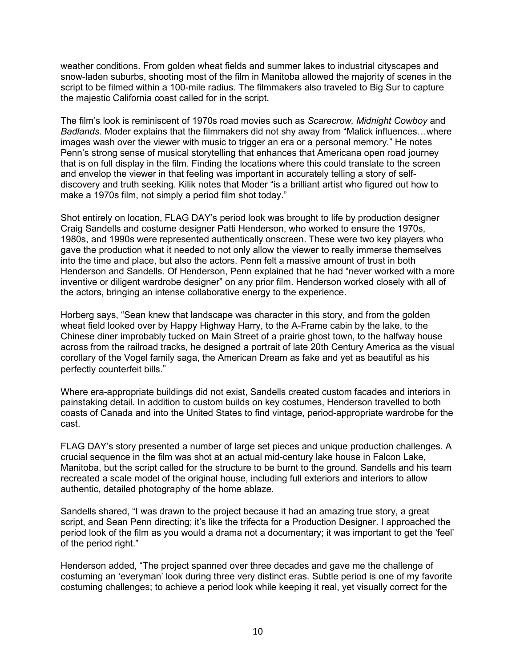weather conditions. From golden wheat fields and summer lakes to industrial cityscapes and snow-laden suburbs, shooting most of the film in Manitoba allowed the majority of scenes in the script to be filmed within a 100-mile radius. The filmmakers also traveled to Big Sur to capture the majestic California coast called for in the script.

The film's look is reminiscent of 1970s road movies such as *Scarecrow, Midnight Cowboy* and *Badlands*. Moder explains that the filmmakers did not shy away from "Malick influences…where images wash over the viewer with music to trigger an era or a personal memory." He notes Penn's strong sense of musical storytelling that enhances that Americana open road journey that is on full display in the film. Finding the locations where this could translate to the screen and envelop the viewer in that feeling was important in accurately telling a story of selfdiscovery and truth seeking. Kilik notes that Moder "is a brilliant artist who figured out how to make a 1970s film, not simply a period film shot today."

Shot entirely on location, FLAG DAY's period look was brought to life by production designer Craig Sandells and costume designer Patti Henderson, who worked to ensure the 1970s, 1980s, and 1990s were represented authentically onscreen. These were two key players who gave the production what it needed to not only allow the viewer to really immerse themselves into the time and place, but also the actors. Penn felt a massive amount of trust in both Henderson and Sandells. Of Henderson, Penn explained that he had "never worked with a more inventive or diligent wardrobe designer" on any prior film. Henderson worked closely with all of the actors, bringing an intense collaborative energy to the experience.

Horberg says, "Sean knew that landscape was character in this story, and from the golden wheat field looked over by Happy Highway Harry, to the A-Frame cabin by the lake, to the Chinese diner improbably tucked on Main Street of a prairie ghost town, to the halfway house across from the railroad tracks, he designed a portrait of late 20th Century America as the visual corollary of the Vogel family saga, the American Dream as fake and yet as beautiful as his perfectly counterfeit bills."

Where era-appropriate buildings did not exist, Sandells created custom facades and interiors in painstaking detail. In addition to custom builds on key costumes, Henderson travelled to both coasts of Canada and into the United States to find vintage, period-appropriate wardrobe for the cast.

FLAG DAY's story presented a number of large set pieces and unique production challenges. A crucial sequence in the film was shot at an actual mid-century lake house in Falcon Lake, Manitoba, but the script called for the structure to be burnt to the ground. Sandells and his team recreated a scale model of the original house, including full exteriors and interiors to allow authentic, detailed photography of the home ablaze.

Sandells shared, "I was drawn to the project because it had an amazing true story, a great script, and Sean Penn directing; it's like the trifecta for a Production Designer. I approached the period look of the film as you would a drama not a documentary; it was important to get the 'feel' of the period right."

Henderson added, "The project spanned over three decades and gave me the challenge of costuming an 'everyman' look during three very distinct eras. Subtle period is one of my favorite costuming challenges; to achieve a period look while keeping it real, yet visually correct for the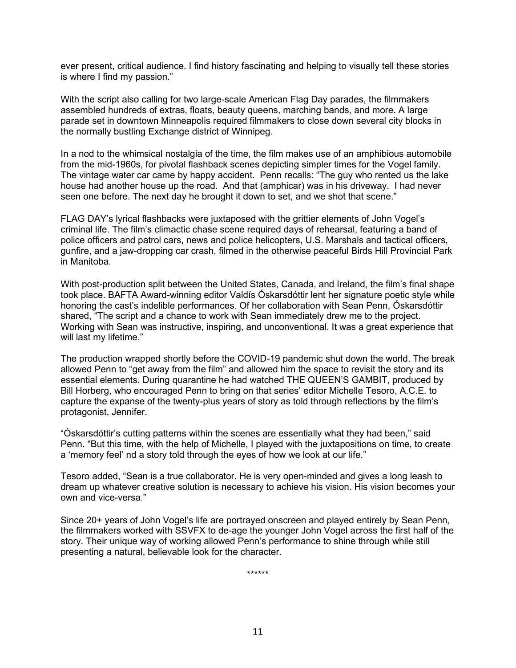ever present, critical audience. I find history fascinating and helping to visually tell these stories is where I find my passion."

With the script also calling for two large-scale American Flag Day parades, the filmmakers assembled hundreds of extras, floats, beauty queens, marching bands, and more. A large parade set in downtown Minneapolis required filmmakers to close down several city blocks in the normally bustling Exchange district of Winnipeg.

In a nod to the whimsical nostalgia of the time, the film makes use of an amphibious automobile from the mid-1960s, for pivotal flashback scenes depicting simpler times for the Vogel family. The vintage water car came by happy accident. Penn recalls: "The guy who rented us the lake house had another house up the road. And that (amphicar) was in his driveway. I had never seen one before. The next day he brought it down to set, and we shot that scene."

FLAG DAY's lyrical flashbacks were juxtaposed with the grittier elements of John Vogel's criminal life. The film's climactic chase scene required days of rehearsal, featuring a band of police officers and patrol cars, news and police helicopters, U.S. Marshals and tactical officers, gunfire, and a jaw-dropping car crash, filmed in the otherwise peaceful Birds Hill Provincial Park in Manitoba.

With post-production split between the United States, Canada, and Ireland, the film's final shape took place. BAFTA Award-winning editor Valdís Óskarsdóttir lent her signature poetic style while honoring the cast's indelible performances. Of her collaboration with Sean Penn, Óskarsdóttir shared, "The script and a chance to work with Sean immediately drew me to the project. Working with Sean was instructive, inspiring, and unconventional. It was a great experience that will last my lifetime."

The production wrapped shortly before the COVID-19 pandemic shut down the world. The break allowed Penn to "get away from the film" and allowed him the space to revisit the story and its essential elements. During quarantine he had watched THE QUEEN'S GAMBIT, produced by Bill Horberg, who encouraged Penn to bring on that series' editor Michelle Tesoro, A.C.E. to capture the expanse of the twenty-plus years of story as told through reflections by the film's protagonist, Jennifer.

"Óskarsdóttir's cutting patterns within the scenes are essentially what they had been," said Penn. "But this time, with the help of Michelle, I played with the juxtapositions on time, to create a 'memory feel' nd a story told through the eyes of how we look at our life."

Tesoro added, "Sean is a true collaborator. He is very open-minded and gives a long leash to dream up whatever creative solution is necessary to achieve his vision. His vision becomes your own and vice-versa."

Since 20+ years of John Vogel's life are portrayed onscreen and played entirely by Sean Penn, the filmmakers worked with SSVFX to de-age the younger John Vogel across the first half of the story. Their unique way of working allowed Penn's performance to shine through while still presenting a natural, believable look for the character.

\*\*\*\*\*\*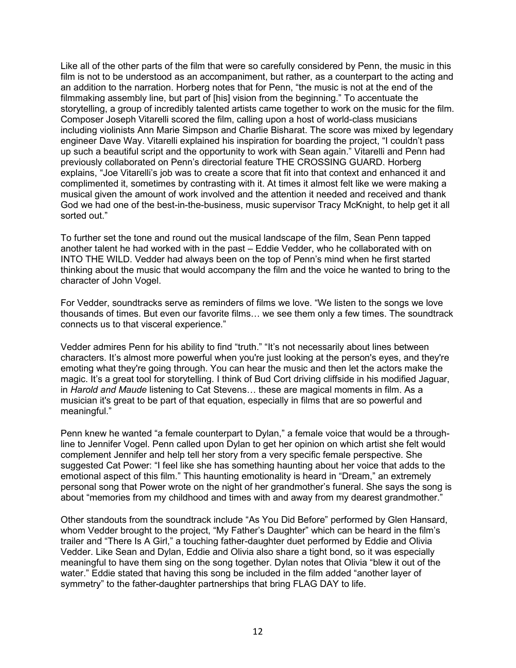Like all of the other parts of the film that were so carefully considered by Penn, the music in this film is not to be understood as an accompaniment, but rather, as a counterpart to the acting and an addition to the narration. Horberg notes that for Penn, "the music is not at the end of the filmmaking assembly line, but part of [his] vision from the beginning." To accentuate the storytelling, a group of incredibly talented artists came together to work on the music for the film. Composer Joseph Vitarelli scored the film, calling upon a host of world-class musicians including violinists Ann Marie Simpson and Charlie Bisharat. The score was mixed by legendary engineer Dave Way. Vitarelli explained his inspiration for boarding the project, "I couldn't pass up such a beautiful script and the opportunity to work with Sean again." Vitarelli and Penn had previously collaborated on Penn's directorial feature THE CROSSING GUARD. Horberg explains, "Joe Vitarelli's job was to create a score that fit into that context and enhanced it and complimented it, sometimes by contrasting with it. At times it almost felt like we were making a musical given the amount of work involved and the attention it needed and received and thank God we had one of the best-in-the-business, music supervisor Tracy McKnight, to help get it all sorted out."

To further set the tone and round out the musical landscape of the film, Sean Penn tapped another talent he had worked with in the past – Eddie Vedder, who he collaborated with on INTO THE WILD. Vedder had always been on the top of Penn's mind when he first started thinking about the music that would accompany the film and the voice he wanted to bring to the character of John Vogel.

For Vedder, soundtracks serve as reminders of films we love. "We listen to the songs we love thousands of times. But even our favorite films… we see them only a few times. The soundtrack connects us to that visceral experience."

Vedder admires Penn for his ability to find "truth." "It's not necessarily about lines between characters. It's almost more powerful when you're just looking at the person's eyes, and they're emoting what they're going through. You can hear the music and then let the actors make the magic. It's a great tool for storytelling. I think of Bud Cort driving cliffside in his modified Jaguar, in *Harold and Maude* listening to Cat Stevens… these are magical moments in film. As a musician it's great to be part of that equation, especially in films that are so powerful and meaningful."

Penn knew he wanted "a female counterpart to Dylan," a female voice that would be a throughline to Jennifer Vogel. Penn called upon Dylan to get her opinion on which artist she felt would complement Jennifer and help tell her story from a very specific female perspective. She suggested Cat Power: "I feel like she has something haunting about her voice that adds to the emotional aspect of this film." This haunting emotionality is heard in "Dream," an extremely personal song that Power wrote on the night of her grandmother's funeral. She says the song is about "memories from my childhood and times with and away from my dearest grandmother."

Other standouts from the soundtrack include "As You Did Before" performed by Glen Hansard, whom Vedder brought to the project, "My Father's Daughter" which can be heard in the film's trailer and "There Is A Girl," a touching father-daughter duet performed by Eddie and Olivia Vedder. Like Sean and Dylan, Eddie and Olivia also share a tight bond, so it was especially meaningful to have them sing on the song together. Dylan notes that Olivia "blew it out of the water." Eddie stated that having this song be included in the film added "another layer of symmetry" to the father-daughter partnerships that bring FLAG DAY to life.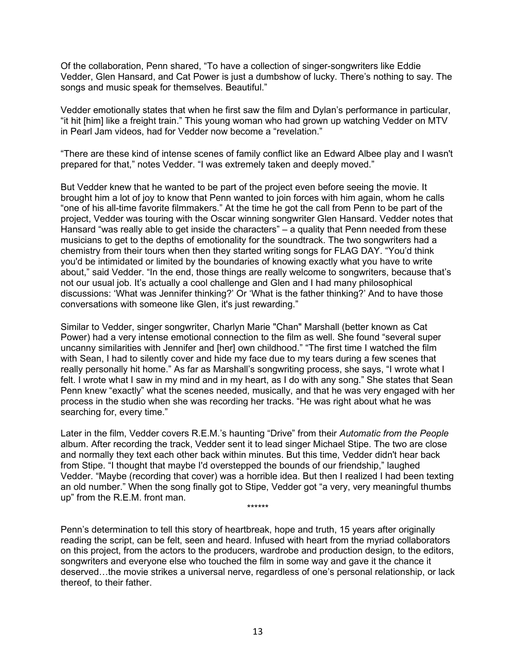Of the collaboration, Penn shared, "To have a collection of singer-songwriters like Eddie Vedder, Glen Hansard, and Cat Power is just a dumbshow of lucky. There's nothing to say. The songs and music speak for themselves. Beautiful."

Vedder emotionally states that when he first saw the film and Dylan's performance in particular, "it hit [him] like a freight train." This young woman who had grown up watching Vedder on MTV in Pearl Jam videos, had for Vedder now become a "revelation."

"There are these kind of intense scenes of family conflict like an Edward Albee play and I wasn't prepared for that," notes Vedder. "I was extremely taken and deeply moved."

But Vedder knew that he wanted to be part of the project even before seeing the movie. It brought him a lot of joy to know that Penn wanted to join forces with him again, whom he calls "one of his all-time favorite filmmakers." At the time he got the call from Penn to be part of the project, Vedder was touring with the Oscar winning songwriter Glen Hansard. Vedder notes that Hansard "was really able to get inside the characters" – a quality that Penn needed from these musicians to get to the depths of emotionality for the soundtrack. The two songwriters had a chemistry from their tours when then they started writing songs for FLAG DAY. "You'd think you'd be intimidated or limited by the boundaries of knowing exactly what you have to write about," said Vedder. "In the end, those things are really welcome to songwriters, because that's not our usual job. It's actually a cool challenge and Glen and I had many philosophical discussions: 'What was Jennifer thinking?' Or 'What is the father thinking?' And to have those conversations with someone like Glen, it's just rewarding."

Similar to Vedder, singer songwriter, Charlyn Marie "Chan" Marshall (better known as Cat Power) had a very intense emotional connection to the film as well. She found "several super uncanny similarities with Jennifer and [her] own childhood." "The first time I watched the film with Sean, I had to silently cover and hide my face due to my tears during a few scenes that really personally hit home." As far as Marshall's songwriting process, she says, "I wrote what I felt. I wrote what I saw in my mind and in my heart, as I do with any song." She states that Sean Penn knew "exactly" what the scenes needed, musically, and that he was very engaged with her process in the studio when she was recording her tracks. "He was right about what he was searching for, every time."

Later in the film, Vedder covers R.E.M.'s haunting "Drive" from their *Automatic from the People* album. After recording the track, Vedder sent it to lead singer Michael Stipe. The two are close and normally they text each other back within minutes. But this time, Vedder didn't hear back from Stipe. "I thought that maybe I'd overstepped the bounds of our friendship," laughed Vedder. "Maybe (recording that cover) was a horrible idea. But then I realized I had been texting an old number." When the song finally got to Stipe, Vedder got "a very, very meaningful thumbs up" from the R.E.M. front man. \*\*\*\*\*\*

Penn's determination to tell this story of heartbreak, hope and truth, 15 years after originally reading the script, can be felt, seen and heard. Infused with heart from the myriad collaborators on this project, from the actors to the producers, wardrobe and production design, to the editors, songwriters and everyone else who touched the film in some way and gave it the chance it deserved…the movie strikes a universal nerve, regardless of one's personal relationship, or lack thereof, to their father.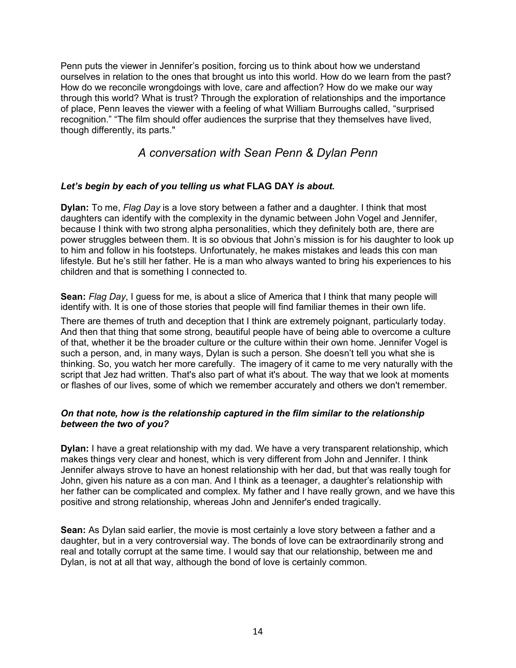Penn puts the viewer in Jennifer's position, forcing us to think about how we understand ourselves in relation to the ones that brought us into this world. How do we learn from the past? How do we reconcile wrongdoings with love, care and affection? How do we make our way through this world? What is trust? Through the exploration of relationships and the importance of place, Penn leaves the viewer with a feeling of what William Burroughs called, "surprised recognition." "The film should offer audiences the surprise that they themselves have lived, though differently, its parts."

## *A conversation with Sean Penn & Dylan Penn*

## *Let's begin by each of you telling us what* **FLAG DAY** *is about.*

**Dylan:** To me, *Flag Day* is a love story between a father and a daughter. I think that most daughters can identify with the complexity in the dynamic between John Vogel and Jennifer, because I think with two strong alpha personalities, which they definitely both are, there are power struggles between them. It is so obvious that John's mission is for his daughter to look up to him and follow in his footsteps. Unfortunately, he makes mistakes and leads this con man lifestyle. But he's still her father. He is a man who always wanted to bring his experiences to his children and that is something I connected to.

**Sean:** *Flag Day*, I guess for me, is about a slice of America that I think that many people will identify with. It is one of those stories that people will find familiar themes in their own life.

There are themes of truth and deception that I think are extremely poignant, particularly today. And then that thing that some strong, beautiful people have of being able to overcome a culture of that, whether it be the broader culture or the culture within their own home. Jennifer Vogel is such a person, and, in many ways, Dylan is such a person. She doesn't tell you what she is thinking. So, you watch her more carefully. The imagery of it came to me very naturally with the script that Jez had written. That's also part of what it's about. The way that we look at moments or flashes of our lives, some of which we remember accurately and others we don't remember.

## *On that note, how is the relationship captured in the film similar to the relationship between the two of you?*

**Dylan:** I have a great relationship with my dad. We have a very transparent relationship, which makes things very clear and honest, which is very different from John and Jennifer. I think Jennifer always strove to have an honest relationship with her dad, but that was really tough for John, given his nature as a con man. And I think as a teenager, a daughter's relationship with her father can be complicated and complex. My father and I have really grown, and we have this positive and strong relationship, whereas John and Jennifer's ended tragically.

**Sean:** As Dylan said earlier, the movie is most certainly a love story between a father and a daughter, but in a very controversial way. The bonds of love can be extraordinarily strong and real and totally corrupt at the same time. I would say that our relationship, between me and Dylan, is not at all that way, although the bond of love is certainly common.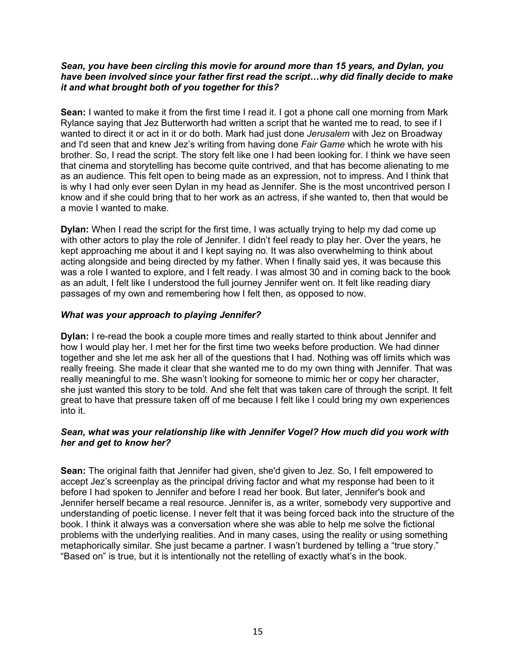#### *Sean, you have been circling this movie for around more than 15 years, and Dylan, you have been involved since your father first read the script…why did finally decide to make it and what brought both of you together for this?*

**Sean:** I wanted to make it from the first time I read it. I got a phone call one morning from Mark Rylance saying that Jez Butterworth had written a script that he wanted me to read, to see if I wanted to direct it or act in it or do both. Mark had just done *Jerusalem* with Jez on Broadway and I'd seen that and knew Jez's writing from having done *Fair Game* which he wrote with his brother. So, I read the script. The story felt like one I had been looking for. I think we have seen that cinema and storytelling has become quite contrived, and that has become alienating to me as an audience. This felt open to being made as an expression, not to impress. And I think that is why I had only ever seen Dylan in my head as Jennifer. She is the most uncontrived person I know and if she could bring that to her work as an actress, if she wanted to, then that would be a movie I wanted to make.

**Dylan:** When I read the script for the first time, I was actually trying to help my dad come up with other actors to play the role of Jennifer. I didn't feel ready to play her. Over the years, he kept approaching me about it and I kept saying no. It was also overwhelming to think about acting alongside and being directed by my father. When I finally said yes, it was because this was a role I wanted to explore, and I felt ready. I was almost 30 and in coming back to the book as an adult, I felt like I understood the full journey Jennifer went on. It felt like reading diary passages of my own and remembering how I felt then, as opposed to now.

## *What was your approach to playing Jennifer?*

**Dylan:** I re-read the book a couple more times and really started to think about Jennifer and how I would play her. I met her for the first time two weeks before production. We had dinner together and she let me ask her all of the questions that I had. Nothing was off limits which was really freeing. She made it clear that she wanted me to do my own thing with Jennifer. That was really meaningful to me. She wasn't looking for someone to mimic her or copy her character, she just wanted this story to be told. And she felt that was taken care of through the script. It felt great to have that pressure taken off of me because I felt like I could bring my own experiences into it.

## *Sean, what was your relationship like with Jennifer Vogel? How much did you work with her and get to know her?*

**Sean:** The original faith that Jennifer had given, she'd given to Jez. So, I felt empowered to accept Jez's screenplay as the principal driving factor and what my response had been to it before I had spoken to Jennifer and before I read her book. But later, Jennifer's book and Jennifer herself became a real resource. Jennifer is, as a writer, somebody very supportive and understanding of poetic license. I never felt that it was being forced back into the structure of the book. I think it always was a conversation where she was able to help me solve the fictional problems with the underlying realities. And in many cases, using the reality or using something metaphorically similar. She just became a partner. I wasn't burdened by telling a "true story." "Based on" is true, but it is intentionally not the retelling of exactly what's in the book.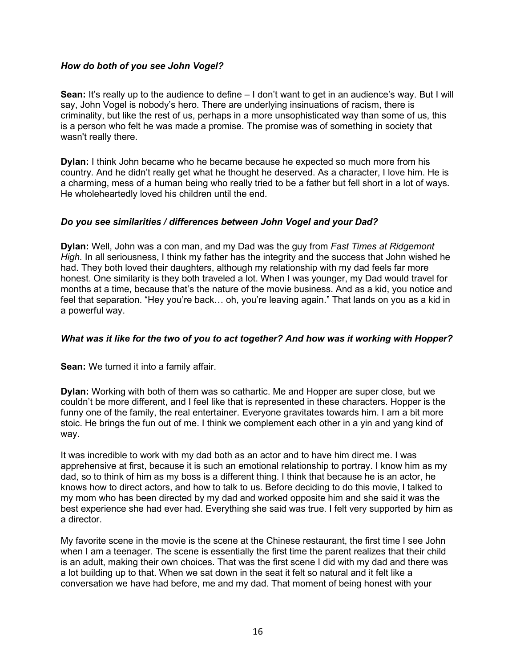## *How do both of you see John Vogel?*

**Sean:** It's really up to the audience to define – I don't want to get in an audience's way. But I will say, John Vogel is nobody's hero. There are underlying insinuations of racism, there is criminality, but like the rest of us, perhaps in a more unsophisticated way than some of us, this is a person who felt he was made a promise. The promise was of something in society that wasn't really there.

**Dylan:** I think John became who he became because he expected so much more from his country. And he didn't really get what he thought he deserved. As a character, I love him. He is a charming, mess of a human being who really tried to be a father but fell short in a lot of ways. He wholeheartedly loved his children until the end.

## *Do you see similarities / differences between John Vogel and your Dad?*

**Dylan:** Well, John was a con man, and my Dad was the guy from *Fast Times at Ridgemont High.* In all seriousness, I think my father has the integrity and the success that John wished he had. They both loved their daughters, although my relationship with my dad feels far more honest. One similarity is they both traveled a lot. When I was younger, my Dad would travel for months at a time, because that's the nature of the movie business. And as a kid, you notice and feel that separation. "Hey you're back… oh, you're leaving again." That lands on you as a kid in a powerful way.

## *What was it like for the two of you to act together? And how was it working with Hopper?*

**Sean:** We turned it into a family affair.

**Dylan:** Working with both of them was so cathartic. Me and Hopper are super close, but we couldn't be more different, and I feel like that is represented in these characters. Hopper is the funny one of the family, the real entertainer. Everyone gravitates towards him. I am a bit more stoic. He brings the fun out of me. I think we complement each other in a yin and yang kind of way.

It was incredible to work with my dad both as an actor and to have him direct me. I was apprehensive at first, because it is such an emotional relationship to portray. I know him as my dad, so to think of him as my boss is a different thing. I think that because he is an actor, he knows how to direct actors, and how to talk to us. Before deciding to do this movie, I talked to my mom who has been directed by my dad and worked opposite him and she said it was the best experience she had ever had. Everything she said was true. I felt very supported by him as a director.

My favorite scene in the movie is the scene at the Chinese restaurant, the first time I see John when I am a teenager. The scene is essentially the first time the parent realizes that their child is an adult, making their own choices. That was the first scene I did with my dad and there was a lot building up to that. When we sat down in the seat it felt so natural and it felt like a conversation we have had before, me and my dad. That moment of being honest with your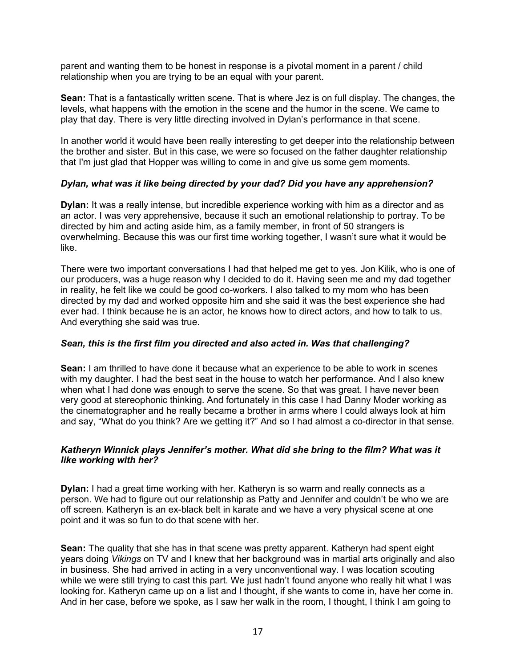parent and wanting them to be honest in response is a pivotal moment in a parent / child relationship when you are trying to be an equal with your parent.

**Sean:** That is a fantastically written scene. That is where Jez is on full display. The changes, the levels, what happens with the emotion in the scene and the humor in the scene. We came to play that day. There is very little directing involved in Dylan's performance in that scene.

In another world it would have been really interesting to get deeper into the relationship between the brother and sister. But in this case, we were so focused on the father daughter relationship that I'm just glad that Hopper was willing to come in and give us some gem moments.

## *Dylan, what was it like being directed by your dad? Did you have any apprehension?*

**Dylan:** It was a really intense, but incredible experience working with him as a director and as an actor. I was very apprehensive, because it such an emotional relationship to portray. To be directed by him and acting aside him, as a family member, in front of 50 strangers is overwhelming. Because this was our first time working together, I wasn't sure what it would be like.

There were two important conversations I had that helped me get to yes. Jon Kilik, who is one of our producers, was a huge reason why I decided to do it. Having seen me and my dad together in reality, he felt like we could be good co-workers. I also talked to my mom who has been directed by my dad and worked opposite him and she said it was the best experience she had ever had. I think because he is an actor, he knows how to direct actors, and how to talk to us. And everything she said was true.

## *Sean, this is the first film you directed and also acted in. Was that challenging?*

**Sean:** I am thrilled to have done it because what an experience to be able to work in scenes with my daughter. I had the best seat in the house to watch her performance. And I also knew when what I had done was enough to serve the scene. So that was great. I have never been very good at stereophonic thinking. And fortunately in this case I had Danny Moder working as the cinematographer and he really became a brother in arms where I could always look at him and say, "What do you think? Are we getting it?" And so I had almost a co-director in that sense.

## *Katheryn Winnick plays Jennifer's mother. What did she bring to the film? What was it like working with her?*

**Dylan:** I had a great time working with her. Katheryn is so warm and really connects as a person. We had to figure out our relationship as Patty and Jennifer and couldn't be who we are off screen. Katheryn is an ex-black belt in karate and we have a very physical scene at one point and it was so fun to do that scene with her.

**Sean:** The quality that she has in that scene was pretty apparent. Katheryn had spent eight years doing *Vikings* on TV and I knew that her background was in martial arts originally and also in business. She had arrived in acting in a very unconventional way. I was location scouting while we were still trying to cast this part. We just hadn't found anyone who really hit what I was looking for. Katheryn came up on a list and I thought, if she wants to come in, have her come in. And in her case, before we spoke, as I saw her walk in the room, I thought, I think I am going to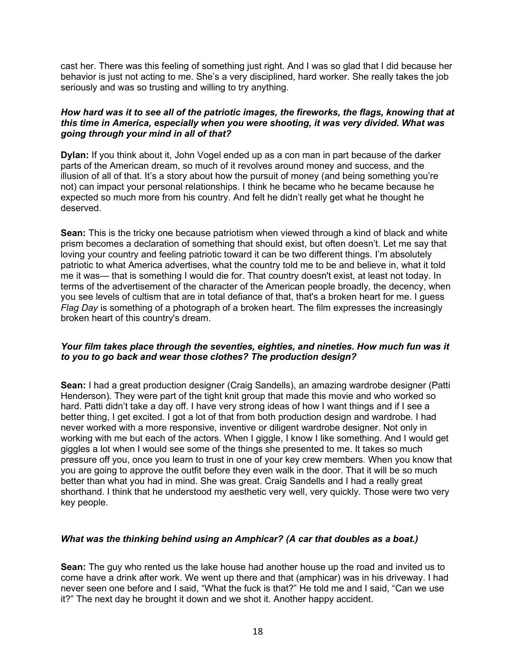cast her. There was this feeling of something just right. And I was so glad that I did because her behavior is just not acting to me. She's a very disciplined, hard worker. She really takes the job seriously and was so trusting and willing to try anything.

#### *How hard was it to see all of the patriotic images, the fireworks, the flags, knowing that at this time in America, especially when you were shooting, it was very divided. What was going through your mind in all of that?*

**Dylan:** If you think about it, John Vogel ended up as a con man in part because of the darker parts of the American dream, so much of it revolves around money and success, and the illusion of all of that. It's a story about how the pursuit of money (and being something you're not) can impact your personal relationships. I think he became who he became because he expected so much more from his country. And felt he didn't really get what he thought he deserved.

**Sean:** This is the tricky one because patriotism when viewed through a kind of black and white prism becomes a declaration of something that should exist, but often doesn't. Let me say that loving your country and feeling patriotic toward it can be two different things. I'm absolutely patriotic to what America advertises, what the country told me to be and believe in, what it told me it was— that is something I would die for. That country doesn't exist, at least not today. In terms of the advertisement of the character of the American people broadly, the decency, when you see levels of cultism that are in total defiance of that, that's a broken heart for me. I guess *Flag Day* is something of a photograph of a broken heart. The film expresses the increasingly broken heart of this country's dream.

## *Your film takes place through the seventies, eighties, and nineties. How much fun was it to you to go back and wear those clothes? The production design?*

**Sean:** I had a great production designer (Craig Sandells), an amazing wardrobe designer (Patti Henderson). They were part of the tight knit group that made this movie and who worked so hard. Patti didn't take a day off. I have very strong ideas of how I want things and if I see a better thing, I get excited. I got a lot of that from both production design and wardrobe. I had never worked with a more responsive, inventive or diligent wardrobe designer. Not only in working with me but each of the actors. When I giggle, I know I like something. And I would get giggles a lot when I would see some of the things she presented to me. It takes so much pressure off you, once you learn to trust in one of your key crew members. When you know that you are going to approve the outfit before they even walk in the door. That it will be so much better than what you had in mind. She was great. Craig Sandells and I had a really great shorthand. I think that he understood my aesthetic very well, very quickly. Those were two very key people.

## *What was the thinking behind using an Amphicar? (A car that doubles as a boat.)*

**Sean:** The guy who rented us the lake house had another house up the road and invited us to come have a drink after work. We went up there and that (amphicar) was in his driveway. I had never seen one before and I said, "What the fuck is that?" He told me and I said, "Can we use it?" The next day he brought it down and we shot it. Another happy accident.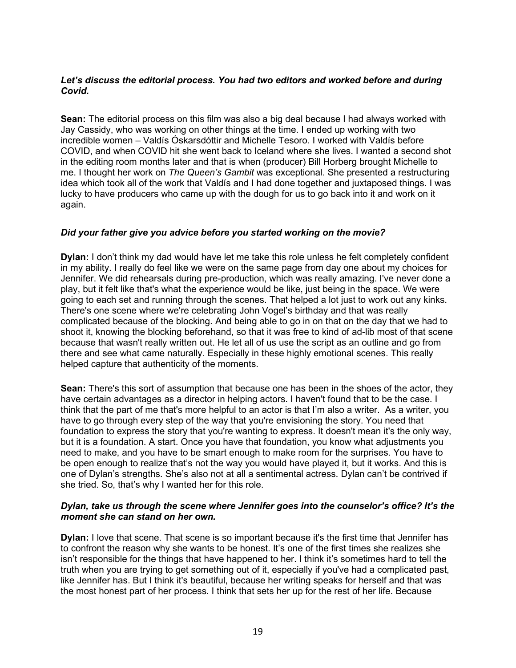## *Let's discuss the editorial process. You had two editors and worked before and during Covid.*

**Sean:** The editorial process on this film was also a big deal because I had always worked with Jay Cassidy, who was working on other things at the time. I ended up working with two incredible women – Valdís Óskarsdóttir and Michelle Tesoro. I worked with Valdís before COVID, and when COVID hit she went back to Iceland where she lives. I wanted a second shot in the editing room months later and that is when (producer) Bill Horberg brought Michelle to me. I thought her work on *The Queen's Gambit* was exceptional. She presented a restructuring idea which took all of the work that Valdís and I had done together and juxtaposed things. I was lucky to have producers who came up with the dough for us to go back into it and work on it again.

## *Did your father give you advice before you started working on the movie?*

**Dylan:** I don't think my dad would have let me take this role unless he felt completely confident in my ability. I really do feel like we were on the same page from day one about my choices for Jennifer. We did rehearsals during pre-production, which was really amazing. I've never done a play, but it felt like that's what the experience would be like, just being in the space. We were going to each set and running through the scenes. That helped a lot just to work out any kinks. There's one scene where we're celebrating John Vogel's birthday and that was really complicated because of the blocking. And being able to go in on that on the day that we had to shoot it, knowing the blocking beforehand, so that it was free to kind of ad-lib most of that scene because that wasn't really written out. He let all of us use the script as an outline and go from there and see what came naturally. Especially in these highly emotional scenes. This really helped capture that authenticity of the moments.

**Sean:** There's this sort of assumption that because one has been in the shoes of the actor, they have certain advantages as a director in helping actors. I haven't found that to be the case. I think that the part of me that's more helpful to an actor is that I'm also a writer. As a writer, you have to go through every step of the way that you're envisioning the story. You need that foundation to express the story that you're wanting to express. It doesn't mean it's the only way, but it is a foundation. A start. Once you have that foundation, you know what adjustments you need to make, and you have to be smart enough to make room for the surprises. You have to be open enough to realize that's not the way you would have played it, but it works. And this is one of Dylan's strengths. She's also not at all a sentimental actress. Dylan can't be contrived if she tried. So, that's why I wanted her for this role.

## *Dylan, take us through the scene where Jennifer goes into the counselor's office? It's the moment she can stand on her own.*

**Dylan:** I love that scene. That scene is so important because it's the first time that Jennifer has to confront the reason why she wants to be honest. It's one of the first times she realizes she isn't responsible for the things that have happened to her. I think it's sometimes hard to tell the truth when you are trying to get something out of it, especially if you've had a complicated past, like Jennifer has. But I think it's beautiful, because her writing speaks for herself and that was the most honest part of her process. I think that sets her up for the rest of her life. Because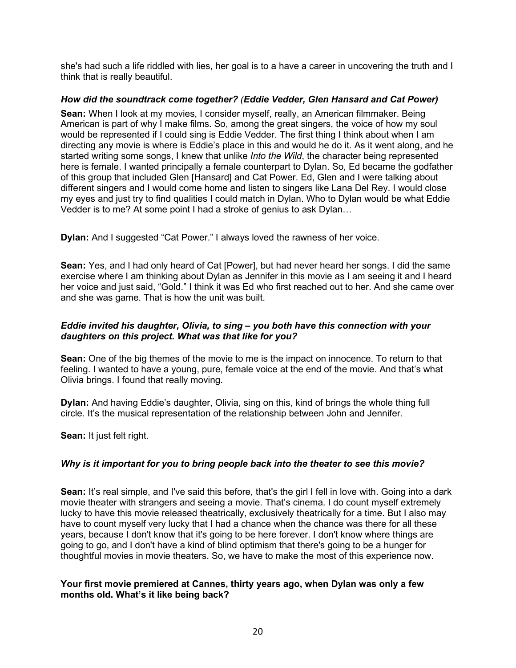she's had such a life riddled with lies, her goal is to a have a career in uncovering the truth and I think that is really beautiful.

## *How did the soundtrack come together? (Eddie Vedder, Glen Hansard and Cat Power)*

**Sean:** When I look at my movies, I consider myself, really, an American filmmaker. Being American is part of why I make films. So, among the great singers, the voice of how my soul would be represented if I could sing is Eddie Vedder. The first thing I think about when I am directing any movie is where is Eddie's place in this and would he do it. As it went along, and he started writing some songs, I knew that unlike *Into the Wild*, the character being represented here is female. I wanted principally a female counterpart to Dylan. So, Ed became the godfather of this group that included Glen [Hansard] and Cat Power. Ed, Glen and I were talking about different singers and I would come home and listen to singers like Lana Del Rey. I would close my eyes and just try to find qualities I could match in Dylan. Who to Dylan would be what Eddie Vedder is to me? At some point I had a stroke of genius to ask Dylan…

**Dylan:** And I suggested "Cat Power." I always loved the rawness of her voice.

**Sean:** Yes, and I had only heard of Cat [Power], but had never heard her songs. I did the same exercise where I am thinking about Dylan as Jennifer in this movie as I am seeing it and I heard her voice and just said, "Gold." I think it was Ed who first reached out to her. And she came over and she was game. That is how the unit was built.

## *Eddie invited his daughter, Olivia, to sing – you both have this connection with your daughters on this project. What was that like for you?*

**Sean:** One of the big themes of the movie to me is the impact on innocence. To return to that feeling. I wanted to have a young, pure, female voice at the end of the movie. And that's what Olivia brings. I found that really moving.

**Dylan:** And having Eddie's daughter, Olivia, sing on this, kind of brings the whole thing full circle. It's the musical representation of the relationship between John and Jennifer.

**Sean:** It just felt right.

## *Why is it important for you to bring people back into the theater to see this movie?*

**Sean:** It's real simple, and I've said this before, that's the girl I fell in love with. Going into a dark movie theater with strangers and seeing a movie. That's cinema. I do count myself extremely lucky to have this movie released theatrically, exclusively theatrically for a time. But I also may have to count myself very lucky that I had a chance when the chance was there for all these years, because I don't know that it's going to be here forever. I don't know where things are going to go, and I don't have a kind of blind optimism that there's going to be a hunger for thoughtful movies in movie theaters. So, we have to make the most of this experience now.

## **Your first movie premiered at Cannes, thirty years ago, when Dylan was only a few months old. What's it like being back?**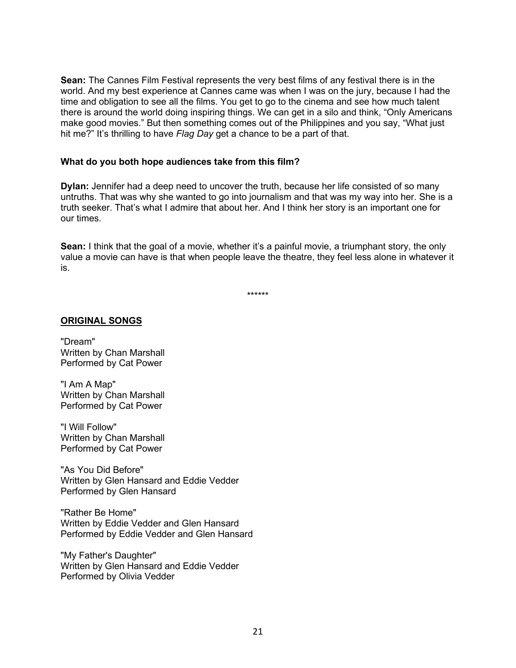**Sean:** The Cannes Film Festival represents the very best films of any festival there is in the world. And my best experience at Cannes came was when I was on the jury, because I had the time and obligation to see all the films. You get to go to the cinema and see how much talent there is around the world doing inspiring things. We can get in a silo and think, "Only Americans make good movies." But then something comes out of the Philippines and you say, "What just hit me?" It's thrilling to have *Flag Day* get a chance to be a part of that.

#### **What do you both hope audiences take from this film?**

**Dylan:** Jennifer had a deep need to uncover the truth, because her life consisted of so many untruths. That was why she wanted to go into journalism and that was my way into her. She is a truth seeker. That's what I admire that about her. And I think her story is an important one for our times.

**Sean:** I think that the goal of a movie, whether it's a painful movie, a triumphant story, the only value a movie can have is that when people leave the theatre, they feel less alone in whatever it is.

\*\*\*\*\*\*

#### **ORIGINAL SONGS**

"Dream" Written by Chan Marshall Performed by Cat Power

"I Am A Map" Written by Chan Marshall Performed by Cat Power

"I Will Follow" Written by Chan Marshall Performed by Cat Power

"As You Did Before" Written by Glen Hansard and Eddie Vedder Performed by Glen Hansard

"Rather Be Home" Written by Eddie Vedder and Glen Hansard Performed by Eddie Vedder and Glen Hansard

"My Father's Daughter" Written by Glen Hansard and Eddie Vedder Performed by Olivia Vedder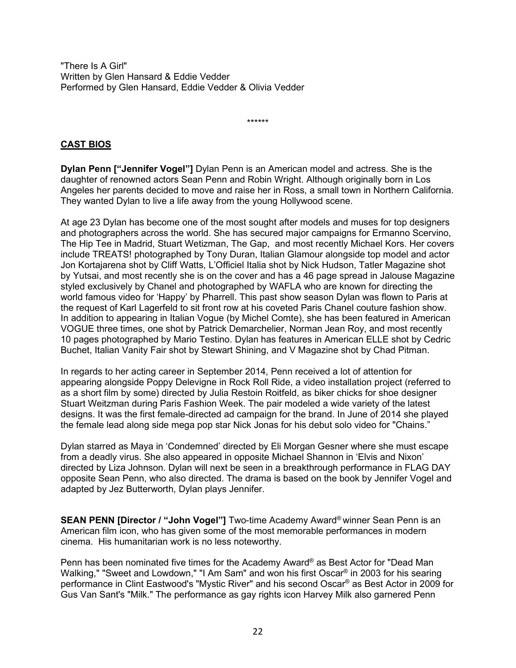"There Is A Girl" Written by Glen Hansard & Eddie Vedder Performed by Glen Hansard, Eddie Vedder & Olivia Vedder

\*\*\*\*\*\*

## **CAST BIOS**

**Dylan Penn ["Jennifer Vogel"]** Dylan Penn is an American model and actress. She is the daughter of renowned actors Sean Penn and Robin Wright. Although originally born in Los Angeles her parents decided to move and raise her in Ross, a small town in Northern California. They wanted Dylan to live a life away from the young Hollywood scene.

At age 23 Dylan has become one of the most sought after models and muses for top designers and photographers across the world. She has secured major campaigns for Ermanno Scervino, The Hip Tee in Madrid, Stuart Wetizman, The Gap, and most recently Michael Kors. Her covers include TREATS! photographed by Tony Duran, Italian Glamour alongside top model and actor Jon Kortajarena shot by Cliff Watts, L'Officiel Italia shot by Nick Hudson, Tatler Magazine shot by Yutsai, and most recently she is on the cover and has a 46 page spread in Jalouse Magazine styled exclusively by Chanel and photographed by WAFLA who are known for directing the world famous video for 'Happy' by Pharrell. This past show season Dylan was flown to Paris at the request of Karl Lagerfeld to sit front row at his coveted Paris Chanel couture fashion show. In addition to appearing in Italian Vogue (by Michel Comte), she has been featured in American VOGUE three times, one shot by Patrick Demarchelier, Norman Jean Roy, and most recently 10 pages photographed by Mario Testino. Dylan has features in American ELLE shot by Cedric Buchet, Italian Vanity Fair shot by Stewart Shining, and V Magazine shot by Chad Pitman.

In regards to her acting career in September 2014, Penn received a lot of attention for appearing alongside Poppy Delevigne in Rock Roll Ride, a video installation project (referred to as a short film by some) directed by Julia Restoin Roitfeld, as biker chicks for shoe designer Stuart Weitzman during Paris Fashion Week. The pair modeled a wide variety of the latest designs. It was the first female-directed ad campaign for the brand. In June of 2014 she played the female lead along side mega pop star Nick Jonas for his debut solo video for "Chains."

Dylan starred as Maya in 'Condemned' directed by Eli Morgan Gesner where she must escape from a deadly virus. She also appeared in opposite Michael Shannon in 'Elvis and Nixon' directed by Liza Johnson. Dylan will next be seen in a breakthrough performance in FLAG DAY opposite Sean Penn, who also directed. The drama is based on the book by Jennifer Vogel and adapted by Jez Butterworth, Dylan plays Jennifer.

**SEAN PENN [Director / "John Vogel"]** Two-time Academy Award® winner Sean Penn is an American film icon, who has given some of the most memorable performances in modern cinema. His humanitarian work is no less noteworthy.  

Penn has been nominated five times for the Academy Award® as Best Actor for "Dead Man Walking," "Sweet and Lowdown," "I Am Sam" and won his first Oscar® in 2003 for his searing performance in Clint Eastwood's "Mystic River" and his second Oscar® as Best Actor in 2009 for Gus Van Sant's "Milk." The performance as gay rights icon Harvey Milk also garnered Penn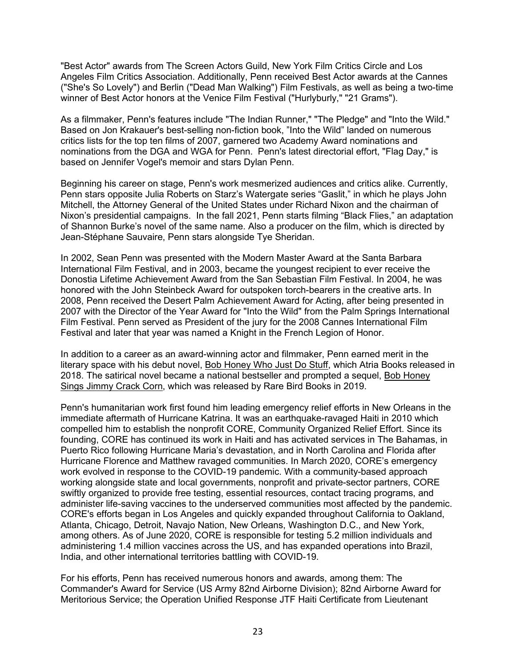"Best Actor" awards from The Screen Actors Guild, New York Film Critics Circle and Los Angeles Film Critics Association. Additionally, Penn received Best Actor awards at the Cannes ("She's So Lovely") and Berlin ("Dead Man Walking") Film Festivals, as well as being a two-time winner of Best Actor honors at the Venice Film Festival ("Hurlyburly," "21 Grams").

As a filmmaker, Penn's features include "The Indian Runner," "The Pledge" and "Into the Wild." Based on Jon Krakauer's best-selling non-fiction book, "Into the Wild" landed on numerous critics lists for the top ten films of 2007, garnered two Academy Award nominations and nominations from the DGA and WGA for Penn. Penn's latest directorial effort, "Flag Day," is based on Jennifer Vogel's memoir and stars Dylan Penn.

Beginning his career on stage, Penn's work mesmerized audiences and critics alike. Currently, Penn stars opposite Julia Roberts on Starz's Watergate series "Gaslit," in which he plays John Mitchell, the Attorney General of the United States under Richard Nixon and the chairman of Nixon's presidential campaigns. In the fall 2021, Penn starts filming "Black Flies," an adaptation of Shannon Burke's novel of the same name. Also a producer on the film, which is directed by Jean-Stéphane Sauvaire, Penn stars alongside Tye Sheridan.

In 2002, Sean Penn was presented with the Modern Master Award at the Santa Barbara International Film Festival, and in 2003, became the youngest recipient to ever receive the Donostia Lifetime Achievement Award from the San Sebastian Film Festival. In 2004, he was honored with the John Steinbeck Award for outspoken torch-bearers in the creative arts. In 2008, Penn received the Desert Palm Achievement Award for Acting, after being presented in 2007 with the Director of the Year Award for "Into the Wild" from the Palm Springs International Film Festival. Penn served as President of the jury for the 2008 Cannes International Film Festival and later that year was named a Knight in the French Legion of Honor.

In addition to a career as an award-winning actor and filmmaker, Penn earned merit in the literary space with his debut novel, Bob Honey Who Just Do Stuff, which Atria Books released in 2018. The satirical novel became a national bestseller and prompted a sequel, Bob Honey Sings Jimmy Crack Corn, which was released by Rare Bird Books in 2019.

Penn's humanitarian work first found him leading emergency relief efforts in New Orleans in the immediate aftermath of Hurricane Katrina. It was an earthquake-ravaged Haiti in 2010 which compelled him to establish the nonprofit CORE, Community Organized Relief Effort. Since its founding, CORE has continued its work in Haiti and has activated services in The Bahamas, in Puerto Rico following Hurricane Maria's devastation, and in North Carolina and Florida after Hurricane Florence and Matthew ravaged communities. In March 2020, CORE's emergency work evolved in response to the COVID-19 pandemic. With a community-based approach working alongside state and local governments, nonprofit and private-sector partners, CORE swiftly organized to provide free testing, essential resources, contact tracing programs, and administer life-saving vaccines to the underserved communities most affected by the pandemic. CORE's efforts began in Los Angeles and quickly expanded throughout California to Oakland, Atlanta, Chicago, Detroit, Navajo Nation, New Orleans, Washington D.C., and New York, among others. As of June 2020, CORE is responsible for testing 5.2 million individuals and administering 1.4 million vaccines across the US, and has expanded operations into Brazil, India, and other international territories battling with COVID-19.

For his efforts, Penn has received numerous honors and awards, among them: The Commander's Award for Service (US Army 82nd Airborne Division); 82nd Airborne Award for Meritorious Service; the Operation Unified Response JTF Haiti Certificate from Lieutenant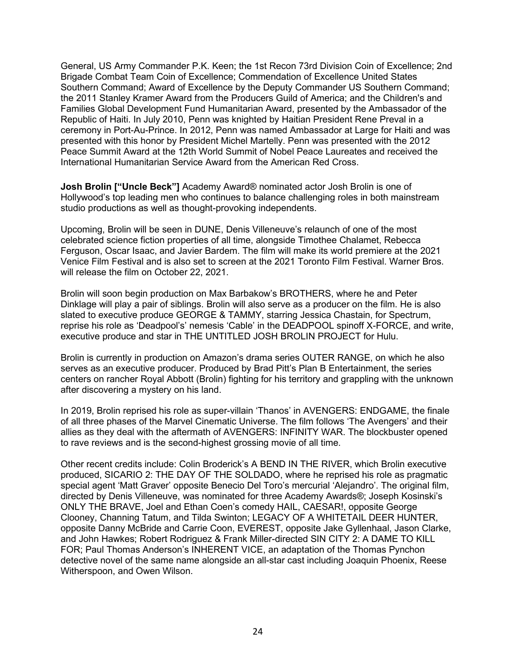General, US Army Commander P.K. Keen; the 1st Recon 73rd Division Coin of Excellence; 2nd Brigade Combat Team Coin of Excellence; Commendation of Excellence United States Southern Command; Award of Excellence by the Deputy Commander US Southern Command; the 2011 Stanley Kramer Award from the Producers Guild of America; and the Children's and Families Global Development Fund Humanitarian Award, presented by the Ambassador of the Republic of Haiti. In July 2010, Penn was knighted by Haitian President Rene Preval in a ceremony in Port-Au-Prince. In 2012, Penn was named Ambassador at Large for Haiti and was presented with this honor by President Michel Martelly. Penn was presented with the 2012 Peace Summit Award at the 12th World Summit of Nobel Peace Laureates and received the International Humanitarian Service Award from the American Red Cross.

**Josh Brolin ["Uncle Beck"]** Academy Award® nominated actor Josh Brolin is one of Hollywood's top leading men who continues to balance challenging roles in both mainstream studio productions as well as thought-provoking independents.

Upcoming, Brolin will be seen in DUNE, Denis Villeneuve's relaunch of one of the most celebrated science fiction properties of all time, alongside Timothee Chalamet, Rebecca Ferguson, Oscar Isaac, and Javier Bardem. The film will make its world premiere at the 2021 Venice Film Festival and is also set to screen at the 2021 Toronto Film Festival. Warner Bros. will release the film on October 22, 2021.

Brolin will soon begin production on Max Barbakow's BROTHERS, where he and Peter Dinklage will play a pair of siblings. Brolin will also serve as a producer on the film. He is also slated to executive produce GEORGE & TAMMY, starring Jessica Chastain, for Spectrum, reprise his role as 'Deadpool's' nemesis 'Cable' in the DEADPOOL spinoff X-FORCE, and write, executive produce and star in THE UNTITLED JOSH BROLIN PROJECT for Hulu.

Brolin is currently in production on Amazon's drama series OUTER RANGE, on which he also serves as an executive producer. Produced by Brad Pitt's Plan B Entertainment, the series centers on rancher Royal Abbott (Brolin) fighting for his territory and grappling with the unknown after discovering a mystery on his land.

In 2019, Brolin reprised his role as super-villain 'Thanos' in AVENGERS: ENDGAME, the finale of all three phases of the Marvel Cinematic Universe. The film follows 'The Avengers' and their allies as they deal with the aftermath of AVENGERS: INFINITY WAR. The blockbuster opened to rave reviews and is the second-highest grossing movie of all time.

Other recent credits include: Colin Broderick's A BEND IN THE RIVER, which Brolin executive produced, SICARIO 2: THE DAY OF THE SOLDADO, where he reprised his role as pragmatic special agent 'Matt Graver' opposite Benecio Del Toro's mercurial 'Alejandro'. The original film, directed by Denis Villeneuve, was nominated for three Academy Awards®; Joseph Kosinski's ONLY THE BRAVE, Joel and Ethan Coen's comedy HAIL, CAESAR!, opposite George Clooney, Channing Tatum, and Tilda Swinton; LEGACY OF A WHITETAIL DEER HUNTER, opposite Danny McBride and Carrie Coon, EVEREST, opposite Jake Gyllenhaal, Jason Clarke, and John Hawkes; Robert Rodriguez & Frank Miller-directed SIN CITY 2: A DAME TO KILL FOR; Paul Thomas Anderson's INHERENT VICE, an adaptation of the Thomas Pynchon detective novel of the same name alongside an all-star cast including Joaquin Phoenix, Reese Witherspoon, and Owen Wilson.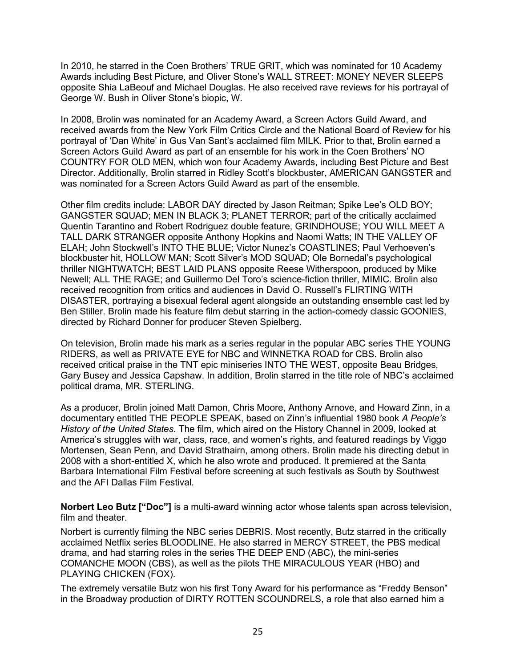In 2010, he starred in the Coen Brothers' TRUE GRIT, which was nominated for 10 Academy Awards including Best Picture, and Oliver Stone's WALL STREET: MONEY NEVER SLEEPS opposite Shia LaBeouf and Michael Douglas. He also received rave reviews for his portrayal of George W. Bush in Oliver Stone's biopic, W.

In 2008, Brolin was nominated for an Academy Award, a Screen Actors Guild Award, and received awards from the New York Film Critics Circle and the National Board of Review for his portrayal of 'Dan White' in Gus Van Sant's acclaimed film MILK. Prior to that, Brolin earned a Screen Actors Guild Award as part of an ensemble for his work in the Coen Brothers' NO COUNTRY FOR OLD MEN, which won four Academy Awards, including Best Picture and Best Director. Additionally, Brolin starred in Ridley Scott's blockbuster, AMERICAN GANGSTER and was nominated for a Screen Actors Guild Award as part of the ensemble.

Other film credits include: LABOR DAY directed by Jason Reitman; Spike Lee's OLD BOY; GANGSTER SQUAD; MEN IN BLACK 3; PLANET TERROR; part of the critically acclaimed Quentin Tarantino and Robert Rodriguez double feature, GRINDHOUSE; YOU WILL MEET A TALL DARK STRANGER opposite Anthony Hopkins and Naomi Watts; IN THE VALLEY OF ELAH; John Stockwell's INTO THE BLUE; Victor Nunez's COASTLINES; Paul Verhoeven's blockbuster hit, HOLLOW MAN; Scott Silver's MOD SQUAD; Ole Bornedal's psychological thriller NIGHTWATCH; BEST LAID PLANS opposite Reese Witherspoon, produced by Mike Newell; ALL THE RAGE; and Guillermo Del Toro's science-fiction thriller, MIMIC. Brolin also received recognition from critics and audiences in David O. Russell's FLIRTING WITH DISASTER, portraying a bisexual federal agent alongside an outstanding ensemble cast led by Ben Stiller. Brolin made his feature film debut starring in the action-comedy classic GOONIES, directed by Richard Donner for producer Steven Spielberg.

On television, Brolin made his mark as a series regular in the popular ABC series THE YOUNG RIDERS, as well as PRIVATE EYE for NBC and WINNETKA ROAD for CBS. Brolin also received critical praise in the TNT epic miniseries INTO THE WEST, opposite Beau Bridges, Gary Busey and Jessica Capshaw. In addition, Brolin starred in the title role of NBC's acclaimed political drama, MR. STERLING.

As a producer, Brolin joined Matt Damon, Chris Moore, Anthony Arnove, and Howard Zinn, in a documentary entitled THE PEOPLE SPEAK, based on Zinn's influential 1980 book *A People's History of the United States*. The film, which aired on the History Channel in 2009, looked at America's struggles with war, class, race, and women's rights, and featured readings by Viggo Mortensen, Sean Penn, and David Strathairn, among others. Brolin made his directing debut in 2008 with a short-entitled X, which he also wrote and produced. It premiered at the Santa Barbara International Film Festival before screening at such festivals as South by Southwest and the AFI Dallas Film Festival.

**Norbert Leo Butz ["Doc"]** is a multi-award winning actor whose talents span across television, film and theater.

Norbert is currently filming the NBC series DEBRIS. Most recently, Butz starred in the critically acclaimed Netflix series BLOODLINE. He also starred in MERCY STREET, the PBS medical drama, and had starring roles in the series THE DEEP END (ABC), the mini-series COMANCHE MOON (CBS), as well as the pilots THE MIRACULOUS YEAR (HBO) and PLAYING CHICKEN (FOX).

The extremely versatile Butz won his first Tony Award for his performance as "Freddy Benson" in the Broadway production of DIRTY ROTTEN SCOUNDRELS, a role that also earned him a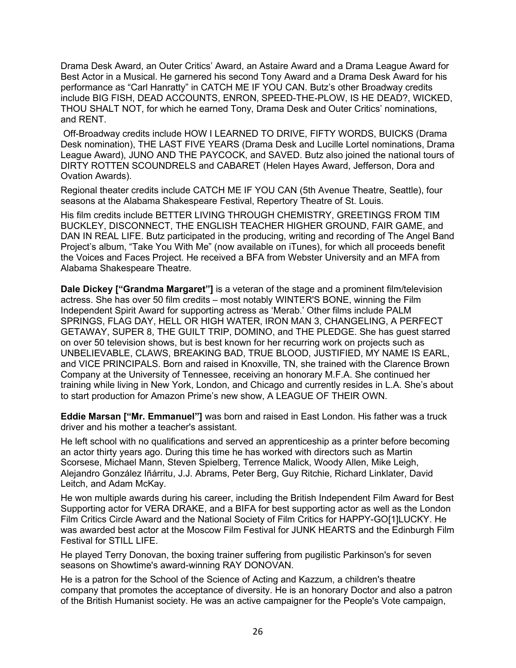Drama Desk Award, an Outer Critics' Award, an Astaire Award and a Drama League Award for Best Actor in a Musical. He garnered his second Tony Award and a Drama Desk Award for his performance as "Carl Hanratty" in CATCH ME IF YOU CAN. Butz's other Broadway credits include BIG FISH, DEAD ACCOUNTS, ENRON, SPEED-THE-PLOW, IS HE DEAD?, WICKED, THOU SHALT NOT, for which he earned Tony, Drama Desk and Outer Critics' nominations, and RENT.

Off-Broadway credits include HOW I LEARNED TO DRIVE, FIFTY WORDS, BUICKS (Drama Desk nomination), THE LAST FIVE YEARS (Drama Desk and Lucille Lortel nominations, Drama League Award), JUNO AND THE PAYCOCK, and SAVED. Butz also joined the national tours of DIRTY ROTTEN SCOUNDRELS and CABARET (Helen Hayes Award, Jefferson, Dora and Ovation Awards).

Regional theater credits include CATCH ME IF YOU CAN (5th Avenue Theatre, Seattle), four seasons at the Alabama Shakespeare Festival, Repertory Theatre of St. Louis.

His film credits include BETTER LIVING THROUGH CHEMISTRY, GREETINGS FROM TIM BUCKLEY, DISCONNECT, THE ENGLISH TEACHER HIGHER GROUND, FAIR GAME, and DAN IN REAL LIFE. Butz participated in the producing, writing and recording of The Angel Band Project's album, "Take You With Me" (now available on iTunes), for which all proceeds benefit the Voices and Faces Project. He received a BFA from Webster University and an MFA from Alabama Shakespeare Theatre.

**Dale Dickey ["Grandma Margaret"]** is a veteran of the stage and a prominent film/television actress. She has over 50 film credits – most notably WINTER'S BONE, winning the Film Independent Spirit Award for supporting actress as 'Merab.' Other films include PALM SPRINGS, FLAG DAY, HELL OR HIGH WATER, IRON MAN 3, CHANGELING, A PERFECT GETAWAY, SUPER 8, THE GUILT TRIP, DOMINO, and THE PLEDGE. She has guest starred on over 50 television shows, but is best known for her recurring work on projects such as UNBELIEVABLE, CLAWS, BREAKING BAD, TRUE BLOOD, JUSTIFIED, MY NAME IS EARL, and VICE PRINCIPALS. Born and raised in Knoxville, TN, she trained with the Clarence Brown Company at the University of Tennessee, receiving an honorary M.F.A. She continued her training while living in New York, London, and Chicago and currently resides in L.A. She's about to start production for Amazon Prime's new show, A LEAGUE OF THEIR OWN.

**Eddie Marsan ["Mr. Emmanuel"]** was born and raised in East London. His father was a truck driver and his mother a teacher's assistant.

He left school with no qualifications and served an apprenticeship as a printer before becoming an actor thirty years ago. During this time he has worked with directors such as Martin Scorsese, Michael Mann, Steven Spielberg, Terrence Malick, Woody Allen, Mike Leigh, Alejandro González Iñárritu, J.J. Abrams, Peter Berg, Guy Ritchie, Richard Linklater, David Leitch, and Adam McKay.

He won multiple awards during his career, including the British Independent Film Award for Best Supporting actor for VERA DRAKE, and a BIFA for best supporting actor as well as the London Film Critics Circle Award and the National Society of Film Critics for HAPPY-GO[1]LUCKY. He was awarded best actor at the Moscow Film Festival for JUNK HEARTS and the Edinburgh Film Festival for STILL LIFE.

He played Terry Donovan, the boxing trainer suffering from pugilistic Parkinson's for seven seasons on Showtime's award-winning RAY DONOVAN.

He is a patron for the School of the Science of Acting and Kazzum, a children's theatre company that promotes the acceptance of diversity. He is an honorary Doctor and also a patron of the British Humanist society. He was an active campaigner for the People's Vote campaign,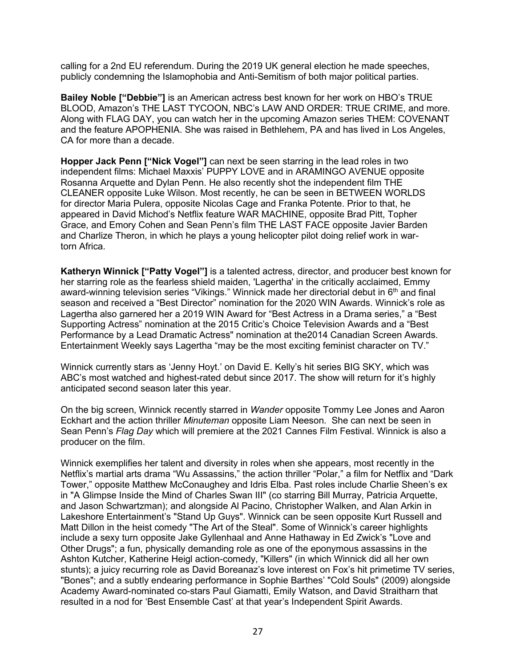calling for a 2nd EU referendum. During the 2019 UK general election he made speeches, publicly condemning the Islamophobia and Anti-Semitism of both major political parties.

**Bailey Noble ["Debbie"]** is an American actress best known for her work on HBO's TRUE BLOOD, Amazon's THE LAST TYCOON, NBC's LAW AND ORDER: TRUE CRIME, and more. Along with FLAG DAY, you can watch her in the upcoming Amazon series THEM: COVENANT and the feature APOPHENIA. She was raised in Bethlehem, PA and has lived in Los Angeles, CA for more than a decade.

**Hopper Jack Penn ["Nick Vogel"]** can next be seen starring in the lead roles in two independent films: Michael Maxxis' PUPPY LOVE and in ARAMINGO AVENUE opposite Rosanna Arquette and Dylan Penn. He also recently shot the independent film THE CLEANER opposite Luke Wilson. Most recently, he can be seen in BETWEEN WORLDS for director Maria Pulera, opposite Nicolas Cage and Franka Potente. Prior to that, he appeared in David Michod's Netflix feature WAR MACHINE, opposite Brad Pitt, Topher Grace, and Emory Cohen and Sean Penn's film THE LAST FACE opposite Javier Barden and Charlize Theron, in which he plays a young helicopter pilot doing relief work in wartorn Africa.

**Katheryn Winnick ["Patty Vogel"]** is a talented actress, director, and producer best known for her starring role as the fearless shield maiden, 'Lagertha' in the critically acclaimed, Emmy award-winning television series "Vikings." Winnick made her directorial debut in 6<sup>th</sup> and final season and received a "Best Director" nomination for the 2020 WIN Awards. Winnick's role as Lagertha also garnered her a 2019 WIN Award for "Best Actress in a Drama series," a "Best Supporting Actress" nomination at the 2015 Critic's Choice Television Awards and a "Best Performance by a Lead Dramatic Actress" nomination at the2014 Canadian Screen Awards. Entertainment Weekly says Lagertha "may be the most exciting feminist character on TV."

Winnick currently stars as 'Jenny Hoyt.' on David E. Kelly's hit series BIG SKY, which was ABC's most watched and highest-rated debut since 2017. The show will return for it's highly anticipated second season later this year.

On the big screen, Winnick recently starred in *Wander* opposite Tommy Lee Jones and Aaron Eckhart and the action thriller *Minuteman* opposite Liam Neeson. She can next be seen in Sean Penn's *Flag Day* which will premiere at the 2021 Cannes Film Festival. Winnick is also a producer on the film.

Winnick exemplifies her talent and diversity in roles when she appears, most recently in the Netflix's martial arts drama "Wu Assassins," the action thriller "Polar," a film for Netflix and "Dark Tower," opposite Matthew McConaughey and Idris Elba. Past roles include Charlie Sheen's ex in "A Glimpse Inside the Mind of Charles Swan III" (co starring Bill Murray, Patricia Arquette, and Jason Schwartzman); and alongside Al Pacino, Christopher Walken, and Alan Arkin in Lakeshore Entertainment's "Stand Up Guys". Winnick can be seen opposite Kurt Russell and Matt Dillon in the heist comedy "The Art of the Steal". Some of Winnick's career highlights include a sexy turn opposite Jake Gyllenhaal and Anne Hathaway in Ed Zwick's "Love and Other Drugs"; a fun, physically demanding role as one of the eponymous assassins in the Ashton Kutcher, Katherine Heigl action-comedy, "Killers" (in which Winnick did all her own stunts); a juicy recurring role as David Boreanaz's love interest on Fox's hit primetime TV series, "Bones"; and a subtly endearing performance in Sophie Barthes' "Cold Souls" (2009) alongside Academy Award-nominated co-stars Paul Giamatti, Emily Watson, and David Straitharn that resulted in a nod for 'Best Ensemble Cast' at that year's Independent Spirit Awards.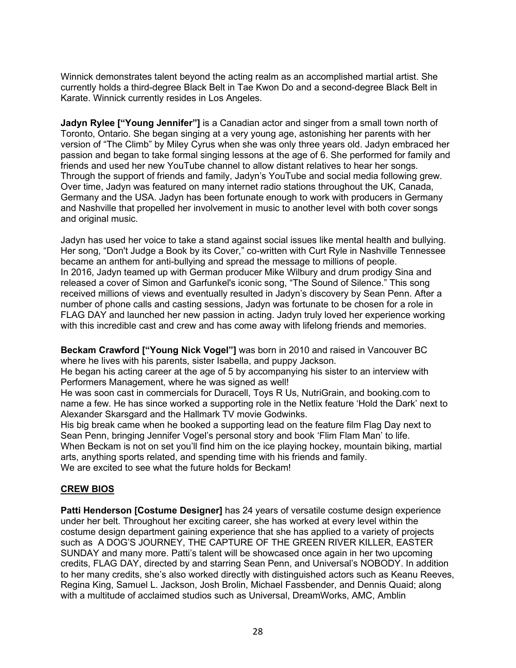Winnick demonstrates talent beyond the acting realm as an accomplished martial artist. She currently holds a third-degree Black Belt in Tae Kwon Do and a second-degree Black Belt in Karate. Winnick currently resides in Los Angeles.

**Jadyn Rylee ["Young Jennifer"]** is a Canadian actor and singer from a small town north of Toronto, Ontario. She began singing at a very young age, astonishing her parents with her version of "The Climb" by Miley Cyrus when she was only three years old. Jadyn embraced her passion and began to take formal singing lessons at the age of 6. She performed for family and friends and used her new YouTube channel to allow distant relatives to hear her songs. Through the support of friends and family, Jadyn's YouTube and social media following grew. Over time, Jadyn was featured on many internet radio stations throughout the UK, Canada, Germany and the USA. Jadyn has been fortunate enough to work with producers in Germany and Nashville that propelled her involvement in music to another level with both cover songs and original music.

Jadyn has used her voice to take a stand against social issues like mental health and bullying. Her song, "Don't Judge a Book by its Cover," co-written with Curt Ryle in Nashville Tennessee became an anthem for anti-bullying and spread the message to millions of people. In 2016, Jadyn teamed up with German producer Mike Wilbury and drum prodigy Sina and released a cover of Simon and Garfunkel's iconic song, "The Sound of Silence." This song received millions of views and eventually resulted in Jadyn's discovery by Sean Penn. After a number of phone calls and casting sessions, Jadyn was fortunate to be chosen for a role in FLAG DAY and launched her new passion in acting. Jadyn truly loved her experience working with this incredible cast and crew and has come away with lifelong friends and memories.

**Beckam Crawford ["Young Nick Vogel"]** was born in 2010 and raised in Vancouver BC where he lives with his parents, sister Isabella, and puppy Jackson.

He began his acting career at the age of 5 by accompanying his sister to an interview with Performers Management, where he was signed as well!

He was soon cast in commercials for Duracell, Toys R Us, NutriGrain, and booking.com to name a few. He has since worked a supporting role in the Netlix feature 'Hold the Dark' next to Alexander Skarsgard and the Hallmark TV movie Godwinks.

His big break came when he booked a supporting lead on the feature film Flag Day next to Sean Penn, bringing Jennifer Vogel's personal story and book 'Flim Flam Man' to life. When Beckam is not on set you'll find him on the ice playing hockey, mountain biking, martial arts, anything sports related, and spending time with his friends and family. We are excited to see what the future holds for Beckam!

## **CREW BIOS**

**Patti Henderson [Costume Designer]** has 24 years of versatile costume design experience under her belt. Throughout her exciting career, she has worked at every level within the costume design department gaining experience that she has applied to a variety of projects such as A DOG'S JOURNEY, THE CAPTURE OF THE GREEN RIVER KILLER, EASTER SUNDAY and many more. Patti's talent will be showcased once again in her two upcoming credits, FLAG DAY, directed by and starring Sean Penn, and Universal's NOBODY. In addition to her many credits, she's also worked directly with distinguished actors such as Keanu Reeves, Regina King, Samuel L. Jackson, Josh Brolin, Michael Fassbender, and Dennis Quaid; along with a multitude of acclaimed studios such as Universal, DreamWorks, AMC, Amblin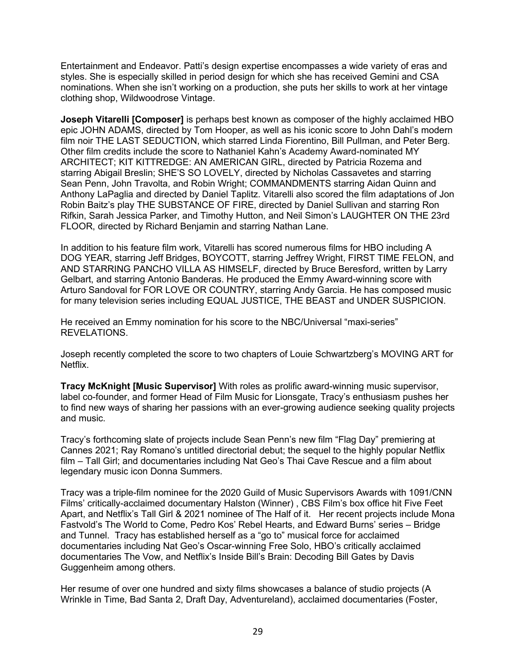Entertainment and Endeavor. Patti's design expertise encompasses a wide variety of eras and styles. She is especially skilled in period design for which she has received Gemini and CSA nominations. When she isn't working on a production, she puts her skills to work at her vintage clothing shop, Wildwoodrose Vintage.

**Joseph Vitarelli [Composer]** is perhaps best known as composer of the highly acclaimed HBO epic JOHN ADAMS, directed by Tom Hooper, as well as his iconic score to John Dahl's modern film noir THE LAST SEDUCTION, which starred Linda Fiorentino, Bill Pullman, and Peter Berg. Other film credits include the score to Nathaniel Kahn's Academy Award-nominated MY ARCHITECT; KIT KITTREDGE: AN AMERICAN GIRL, directed by Patricia Rozema and starring Abigail Breslin; SHE'S SO LOVELY, directed by Nicholas Cassavetes and starring Sean Penn, John Travolta, and Robin Wright; COMMANDMENTS starring Aidan Quinn and Anthony LaPaglia and directed by Daniel Taplitz. Vitarelli also scored the film adaptations of Jon Robin Baitz's play THE SUBSTANCE OF FIRE, directed by Daniel Sullivan and starring Ron Rifkin, Sarah Jessica Parker, and Timothy Hutton, and Neil Simon's LAUGHTER ON THE 23rd FLOOR, directed by Richard Benjamin and starring Nathan Lane.

In addition to his feature film work, Vitarelli has scored numerous films for HBO including A DOG YEAR, starring Jeff Bridges, BOYCOTT, starring Jeffrey Wright, FIRST TIME FELON, and AND STARRING PANCHO VILLA AS HIMSELF, directed by Bruce Beresford, written by Larry Gelbart, and starring Antonio Banderas. He produced the Emmy Award-winning score with Arturo Sandoval for FOR LOVE OR COUNTRY, starring Andy Garcia. He has composed music for many television series including EQUAL JUSTICE, THE BEAST and UNDER SUSPICION.

He received an Emmy nomination for his score to the NBC/Universal "maxi-series" REVELATIONS.

Joseph recently completed the score to two chapters of Louie Schwartzberg's MOVING ART for Netflix.

**Tracy McKnight [Music Supervisor]** With roles as prolific award-winning music supervisor, label co-founder, and former Head of Film Music for Lionsgate, Tracy's enthusiasm pushes her to find new ways of sharing her passions with an ever-growing audience seeking quality projects and music.

Tracy's forthcoming slate of projects include Sean Penn's new film "Flag Day" premiering at Cannes 2021; Ray Romano's untitled directorial debut; the sequel to the highly popular Netflix film – Tall Girl; and documentaries including Nat Geo's Thai Cave Rescue and a film about legendary music icon Donna Summers.

Tracy was a triple-film nominee for the 2020 Guild of Music Supervisors Awards with 1091/CNN Films' critically-acclaimed documentary Halston (Winner) , CBS Film's box office hit Five Feet Apart, and Netflix's Tall Girl & 2021 nominee of The Half of it. Her recent projects include Mona Fastvold's The World to Come, Pedro Kos' Rebel Hearts, and Edward Burns' series – Bridge and Tunnel. Tracy has established herself as a "go to" musical force for acclaimed documentaries including Nat Geo's Oscar-winning Free Solo, HBO's critically acclaimed documentaries The Vow, and Netflix's Inside Bill's Brain: Decoding Bill Gates by Davis Guggenheim among others.

Her resume of over one hundred and sixty films showcases a balance of studio projects (A Wrinkle in Time, Bad Santa 2, Draft Day, Adventureland), acclaimed documentaries (Foster,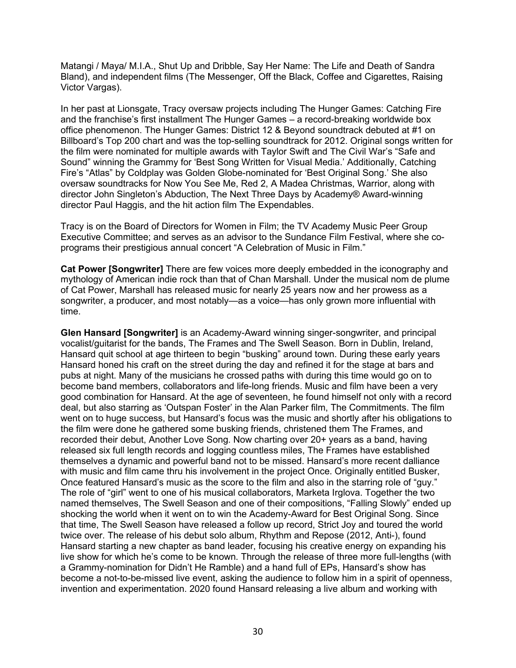Matangi / Maya/ M.I.A., Shut Up and Dribble, Say Her Name: The Life and Death of Sandra Bland), and independent films (The Messenger, Off the Black, Coffee and Cigarettes, Raising Victor Vargas).

In her past at Lionsgate, Tracy oversaw projects including The Hunger Games: Catching Fire and the franchise's first installment The Hunger Games – a record-breaking worldwide box office phenomenon. The Hunger Games: District 12 & Beyond soundtrack debuted at #1 on Billboard's Top 200 chart and was the top-selling soundtrack for 2012. Original songs written for the film were nominated for multiple awards with Taylor Swift and The Civil War's "Safe and Sound" winning the Grammy for 'Best Song Written for Visual Media.' Additionally, Catching Fire's "Atlas" by Coldplay was Golden Globe-nominated for 'Best Original Song.' She also oversaw soundtracks for Now You See Me, Red 2, A Madea Christmas, Warrior, along with director John Singleton's Abduction, The Next Three Days by Academy® Award-winning director Paul Haggis, and the hit action film The Expendables.

Tracy is on the Board of Directors for Women in Film; the TV Academy Music Peer Group Executive Committee; and serves as an advisor to the Sundance Film Festival, where she coprograms their prestigious annual concert "A Celebration of Music in Film."

**Cat Power [Songwriter]** There are few voices more deeply embedded in the iconography and mythology of American indie rock than that of Chan Marshall. Under the musical nom de plume of Cat Power, Marshall has released music for nearly 25 years now and her prowess as a songwriter, a producer, and most notably—as a voice—has only grown more influential with time.

**Glen Hansard [Songwriter]** is an Academy-Award winning singer-songwriter, and principal vocalist/guitarist for the bands, The Frames and The Swell Season. Born in Dublin, Ireland, Hansard quit school at age thirteen to begin "busking" around town. During these early years Hansard honed his craft on the street during the day and refined it for the stage at bars and pubs at night. Many of the musicians he crossed paths with during this time would go on to become band members, collaborators and life-long friends. Music and film have been a very good combination for Hansard. At the age of seventeen, he found himself not only with a record deal, but also starring as 'Outspan Foster' in the Alan Parker film, The Commitments. The film went on to huge success, but Hansard's focus was the music and shortly after his obligations to the film were done he gathered some busking friends, christened them The Frames, and recorded their debut, Another Love Song. Now charting over 20+ years as a band, having released six full length records and logging countless miles, The Frames have established themselves a dynamic and powerful band not to be missed. Hansard's more recent dalliance with music and film came thru his involvement in the project Once. Originally entitled Busker, Once featured Hansard's music as the score to the film and also in the starring role of "guy." The role of "girl" went to one of his musical collaborators, Marketa Irglova. Together the two named themselves, The Swell Season and one of their compositions, "Falling Slowly" ended up shocking the world when it went on to win the Academy-Award for Best Original Song. Since that time, The Swell Season have released a follow up record, Strict Joy and toured the world twice over. The release of his debut solo album, Rhythm and Repose (2012, Anti-), found Hansard starting a new chapter as band leader, focusing his creative energy on expanding his live show for which he's come to be known. Through the release of three more full-lengths (with a Grammy-nomination for Didn't He Ramble) and a hand full of EPs, Hansard's show has become a not-to-be-missed live event, asking the audience to follow him in a spirit of openness, invention and experimentation. 2020 found Hansard releasing a live album and working with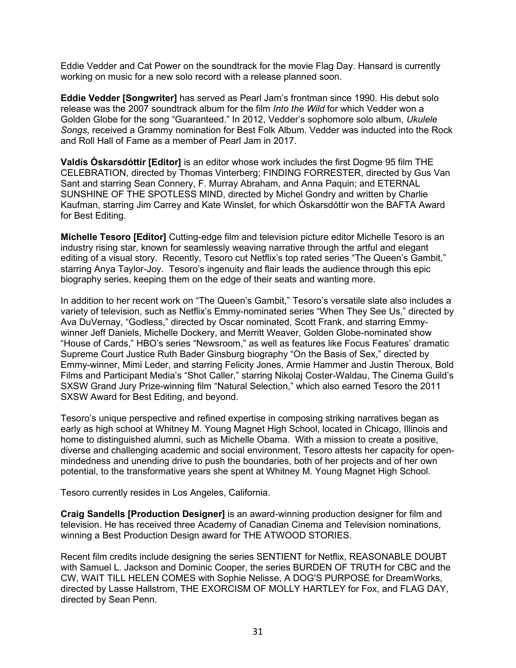Eddie Vedder and Cat Power on the soundtrack for the movie Flag Day. Hansard is currently working on music for a new solo record with a release planned soon.

**Eddie Vedder [Songwriter]** has served as Pearl Jam's frontman since 1990. His debut solo release was the 2007 soundtrack album for the film *Into the Wild* for which Vedder won a Golden Globe for the song "Guaranteed." In 2012, Vedder's sophomore solo album, *Ukulele Songs*, received a Grammy nomination for Best Folk Album. Vedder was inducted into the Rock and Roll Hall of Fame as a member of Pearl Jam in 2017.

**Valdís Óskarsdóttir [Editor]** is an editor whose work includes the first Dogme 95 film THE CELEBRATION, directed by Thomas Vinterberg; FINDING FORRESTER, directed by Gus Van Sant and starring Sean Connery, F. Murray Abraham, and Anna Paquin; and ETERNAL SUNSHINE OF THE SPOTLESS MIND, directed by Michel Gondry and written by Charlie Kaufman, starring Jim Carrey and Kate Winslet, for which Óskarsdóttir won the BAFTA Award for Best Editing.

**Michelle Tesoro [Editor]** Cutting-edge film and television picture editor Michelle Tesoro is an industry rising star, known for seamlessly weaving narrative through the artful and elegant editing of a visual story. Recently, Tesoro cut Netflix's top rated series "The Queen's Gambit," starring Anya Taylor-Joy. Tesoro's ingenuity and flair leads the audience through this epic biography series, keeping them on the edge of their seats and wanting more.

In addition to her recent work on "The Queen's Gambit," Tesoro's versatile slate also includes a variety of television, such as Netflix's Emmy-nominated series "When They See Us," directed by Ava DuVernay, "Godless," directed by Oscar nominated, Scott Frank, and starring Emmywinner Jeff Daniels, Michelle Dockery, and Merritt Weaver, Golden Globe-nominated show "House of Cards," HBO's series "Newsroom," as well as features like Focus Features' dramatic Supreme Court Justice Ruth Bader Ginsburg biography "On the Basis of Sex," directed by Emmy-winner, Mimi Leder, and starring Felicity Jones, Armie Hammer and Justin Theroux, Bold Films and Participant Media's "Shot Caller," starring Nikolaj Coster-Waldau, The Cinema Guild's SXSW Grand Jury Prize-winning film "Natural Selection," which also earned Tesoro the 2011 SXSW Award for Best Editing, and beyond.

Tesoro's unique perspective and refined expertise in composing striking narratives began as early as high school at Whitney M. Young Magnet High School, located in Chicago, Illinois and home to distinguished alumni, such as Michelle Obama. With a mission to create a positive, diverse and challenging academic and social environment, Tesoro attests her capacity for openmindedness and unending drive to push the boundaries, both of her projects and of her own potential, to the transformative years she spent at Whitney M. Young Magnet High School.

Tesoro currently resides in Los Angeles, California.

**Craig Sandells [Production Designer]** is an award-winning production designer for film and television. He has received three Academy of Canadian Cinema and Television nominations, winning a Best Production Design award for THE ATWOOD STORIES.

Recent film credits include designing the series SENTIENT for Netflix, REASONABLE DOUBT with Samuel L. Jackson and Dominic Cooper, the series BURDEN OF TRUTH for CBC and the CW, WAIT TILL HELEN COMES with Sophie Nelisse, A DOG'S PURPOSE for DreamWorks, directed by Lasse Hallstrom, THE EXORCISM OF MOLLY HARTLEY for Fox, and FLAG DAY, directed by Sean Penn.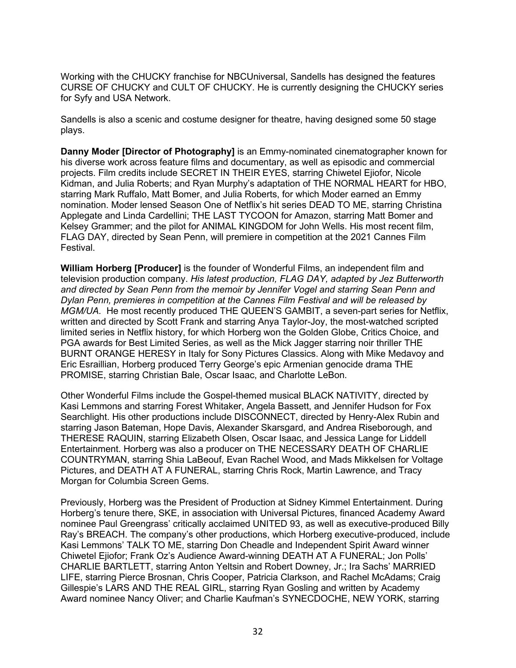Working with the CHUCKY franchise for NBCUniversal, Sandells has designed the features CURSE OF CHUCKY and CULT OF CHUCKY. He is currently designing the CHUCKY series for Syfy and USA Network.

Sandells is also a scenic and costume designer for theatre, having designed some 50 stage plays.

**Danny Moder [Director of Photography]** is an Emmy-nominated cinematographer known for his diverse work across feature films and documentary, as well as episodic and commercial projects. Film credits include SECRET IN THEIR EYES, starring Chiwetel Ejiofor, Nicole Kidman, and Julia Roberts; and Ryan Murphy's adaptation of THE NORMAL HEART for HBO, starring Mark Ruffalo, Matt Bomer, and Julia Roberts, for which Moder earned an Emmy nomination. Moder lensed Season One of Netflix's hit series DEAD TO ME, starring Christina Applegate and Linda Cardellini; THE LAST TYCOON for Amazon, starring Matt Bomer and Kelsey Grammer; and the pilot for ANIMAL KINGDOM for John Wells. His most recent film, FLAG DAY, directed by Sean Penn, will premiere in competition at the 2021 Cannes Film Festival.

**William Horberg [Producer]** is the founder of Wonderful Films, an independent film and television production company. *His latest production, FLAG DAY, adapted by Jez Butterworth and directed by Sean Penn from the memoir by Jennifer Vogel and starring Sean Penn and Dylan Penn, premieres in competition at the Cannes Film Festival and will be released by MGM/UA.* He most recently produced THE QUEEN'S GAMBIT, a seven-part series for Netflix, written and directed by Scott Frank and starring Anya Taylor-Joy, the most-watched scripted limited series in Netflix history, for which Horberg won the Golden Globe, Critics Choice, and PGA awards for Best Limited Series, as well as the Mick Jagger starring noir thriller THE BURNT ORANGE HERESY in Italy for Sony Pictures Classics. Along with Mike Medavoy and Eric Esraillian, Horberg produced Terry George's epic Armenian genocide drama THE PROMISE, starring Christian Bale, Oscar Isaac, and Charlotte LeBon.

Other Wonderful Films include the Gospel-themed musical BLACK NATIVITY, directed by Kasi Lemmons and starring Forest Whitaker, Angela Bassett, and Jennifer Hudson for Fox Searchlight. His other productions include DISCONNECT, directed by Henry-Alex Rubin and starring Jason Bateman, Hope Davis, Alexander Skarsgard, and Andrea Riseborough, and THERESE RAQUIN, starring Elizabeth Olsen, Oscar Isaac, and Jessica Lange for Liddell Entertainment. Horberg was also a producer on THE NECESSARY DEATH OF CHARLIE COUNTRYMAN, starring Shia LaBeouf, Evan Rachel Wood, and Mads Mikkelsen for Voltage Pictures, and DEATH AT A FUNERAL, starring Chris Rock, Martin Lawrence, and Tracy Morgan for Columbia Screen Gems.

Previously, Horberg was the President of Production at Sidney Kimmel Entertainment. During Horberg's tenure there, SKE, in association with Universal Pictures, financed Academy Award nominee Paul Greengrass' critically acclaimed UNITED 93, as well as executive-produced Billy Ray's BREACH. The company's other productions, which Horberg executive-produced, include Kasi Lemmons' TALK TO ME, starring Don Cheadle and Independent Spirit Award winner Chiwetel Ejiofor; Frank Oz's Audience Award-winning DEATH AT A FUNERAL; Jon Polls' CHARLIE BARTLETT, starring Anton Yeltsin and Robert Downey, Jr.; Ira Sachs' MARRIED LIFE, starring Pierce Brosnan, Chris Cooper, Patricia Clarkson, and Rachel McAdams; Craig Gillespie's LARS AND THE REAL GIRL, starring Ryan Gosling and written by Academy Award nominee Nancy Oliver; and Charlie Kaufman's SYNECDOCHE, NEW YORK, starring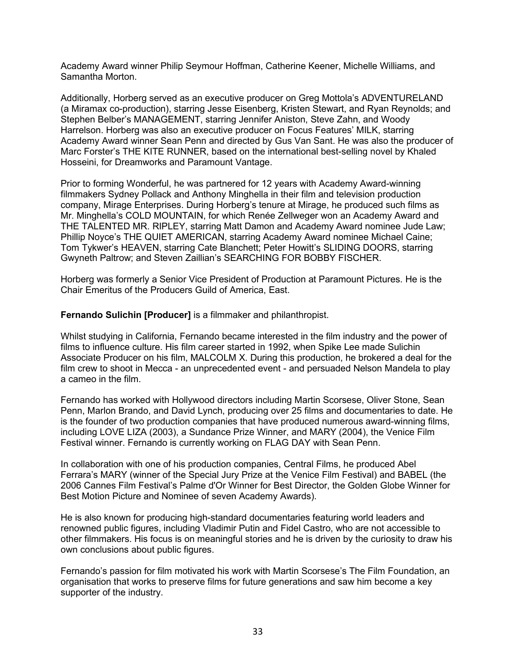Academy Award winner Philip Seymour Hoffman, Catherine Keener, Michelle Williams, and Samantha Morton.

Additionally, Horberg served as an executive producer on Greg Mottola's ADVENTURELAND (a Miramax co-production), starring Jesse Eisenberg, Kristen Stewart, and Ryan Reynolds; and Stephen Belber's MANAGEMENT, starring Jennifer Aniston, Steve Zahn, and Woody Harrelson. Horberg was also an executive producer on Focus Features' MILK, starring Academy Award winner Sean Penn and directed by Gus Van Sant. He was also the producer of Marc Forster's THE KITE RUNNER, based on the international best-selling novel by Khaled Hosseini, for Dreamworks and Paramount Vantage.

Prior to forming Wonderful, he was partnered for 12 years with Academy Award-winning filmmakers Sydney Pollack and Anthony Minghella in their film and television production company, Mirage Enterprises. During Horberg's tenure at Mirage, he produced such films as Mr. Minghella's COLD MOUNTAIN, for which Renée Zellweger won an Academy Award and THE TALENTED MR. RIPLEY, starring Matt Damon and Academy Award nominee Jude Law; Phillip Noyce's THE QUIET AMERICAN, starring Academy Award nominee Michael Caine; Tom Tykwer's HEAVEN, starring Cate Blanchett; Peter Howitt's SLIDING DOORS, starring Gwyneth Paltrow; and Steven Zaillian's SEARCHING FOR BOBBY FISCHER.

Horberg was formerly a Senior Vice President of Production at Paramount Pictures. He is the Chair Emeritus of the Producers Guild of America, East.

**Fernando Sulichin [Producer]** is a filmmaker and philanthropist.

Whilst studying in California, Fernando became interested in the film industry and the power of films to influence culture. His film career started in 1992, when Spike Lee made Sulichin Associate Producer on his film, MALCOLM X. During this production, he brokered a deal for the film crew to shoot in Mecca - an unprecedented event - and persuaded Nelson Mandela to play a cameo in the film.

Fernando has worked with Hollywood directors including Martin Scorsese, Oliver Stone, Sean Penn, Marlon Brando, and David Lynch, producing over 25 films and documentaries to date. He is the founder of two production companies that have produced numerous award-winning films, including LOVE LIZA (2003), a Sundance Prize Winner, and MARY (2004), the Venice Film Festival winner. Fernando is currently working on FLAG DAY with Sean Penn.

In collaboration with one of his production companies, Central Films, he produced Abel Ferrara's MARY (winner of the Special Jury Prize at the Venice Film Festival) and BABEL (the 2006 Cannes Film Festival's Palme d'Or Winner for Best Director, the Golden Globe Winner for Best Motion Picture and Nominee of seven Academy Awards).

He is also known for producing high-standard documentaries featuring world leaders and renowned public figures, including Vladimir Putin and Fidel Castro, who are not accessible to other filmmakers. His focus is on meaningful stories and he is driven by the curiosity to draw his own conclusions about public figures.

Fernando's passion for film motivated his work with Martin Scorsese's The Film Foundation, an organisation that works to preserve films for future generations and saw him become a key supporter of the industry.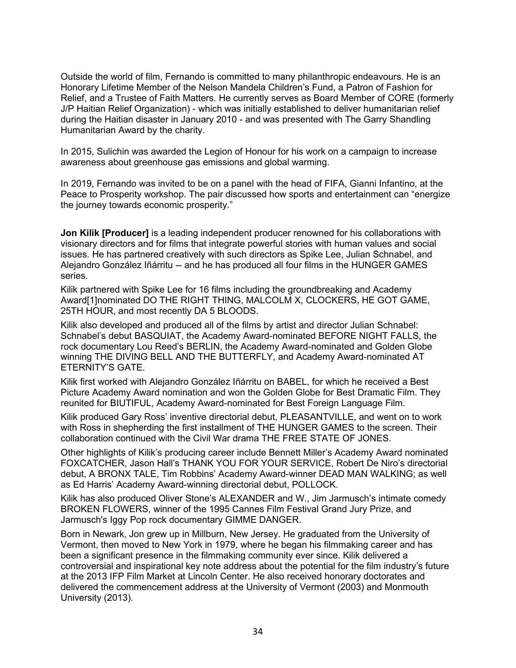Outside the world of film, Fernando is committed to many philanthropic endeavours. He is an Honorary Lifetime Member of the Nelson Mandela Children's Fund, a Patron of Fashion for Relief, and a Trustee of Faith Matters. He currently serves as Board Member of CORE (formerly J/P Haitian Relief Organization) - which was initially established to deliver humanitarian relief during the Haitian disaster in January 2010 - and was presented with The Garry Shandling Humanitarian Award by the charity.

In 2015, Sulichin was awarded the Legion of Honour for his work on a campaign to increase awareness about greenhouse gas emissions and global warming.

In 2019, Fernando was invited to be on a panel with the head of FIFA, Gianni Infantino, at the Peace to Prosperity workshop. The pair discussed how sports and entertainment can "energize the journey towards economic prosperity."

**Jon Kilik [Producer]** is a leading independent producer renowned for his collaborations with visionary directors and for films that integrate powerful stories with human values and social issues. He has partnered creatively with such directors as Spike Lee, Julian Schnabel, and Alejandro González Iñárritu -- and he has produced all four films in the HUNGER GAMES series.

Kilik partnered with Spike Lee for 16 films including the groundbreaking and Academy Award[1]nominated DO THE RIGHT THING, MALCOLM X, CLOCKERS, HE GOT GAME, 25TH HOUR, and most recently DA 5 BLOODS.

Kilik also developed and produced all of the films by artist and director Julian Schnabel: Schnabel's debut BASQUIAT, the Academy Award-nominated BEFORE NIGHT FALLS, the rock documentary Lou Reed's BERLIN, the Academy Award-nominated and Golden Globe winning THE DIVING BELL AND THE BUTTERFLY, and Academy Award-nominated AT ETERNITY'S GATE.

Kilik first worked with Alejandro González Iñárritu on BABEL, for which he received a Best Picture Academy Award nomination and won the Golden Globe for Best Dramatic Film. They reunited for BIUTIFUL, Academy Award-nominated for Best Foreign Language Film.

Kilik produced Gary Ross' inventive directorial debut, PLEASANTVILLE, and went on to work with Ross in shepherding the first installment of THE HUNGER GAMES to the screen. Their collaboration continued with the Civil War drama THE FREE STATE OF JONES.

Other highlights of Kilik's producing career include Bennett Miller's Academy Award nominated FOXCATCHER, Jason Hall's THANK YOU FOR YOUR SERVICE, Robert De Niro's directorial debut, A BRONX TALE, Tim Robbins' Academy Award-winner DEAD MAN WALKING; as well as Ed Harris' Academy Award-winning directorial debut, POLLOCK.

Kilik has also produced Oliver Stone's ALEXANDER and W., Jim Jarmusch's intimate comedy BROKEN FLOWERS, winner of the 1995 Cannes Film Festival Grand Jury Prize, and Jarmusch's Iggy Pop rock documentary GIMME DANGER.

Born in Newark, Jon grew up in Millburn, New Jersey. He graduated from the University of Vermont, then moved to New York in 1979, where he began his filmmaking career and has been a significant presence in the filmmaking community ever since. Kilik delivered a controversial and inspirational key note address about the potential for the film industry's future at the 2013 IFP Film Market at Lincoln Center. He also received honorary doctorates and delivered the commencement address at the University of Vermont (2003) and Monmouth University (2013).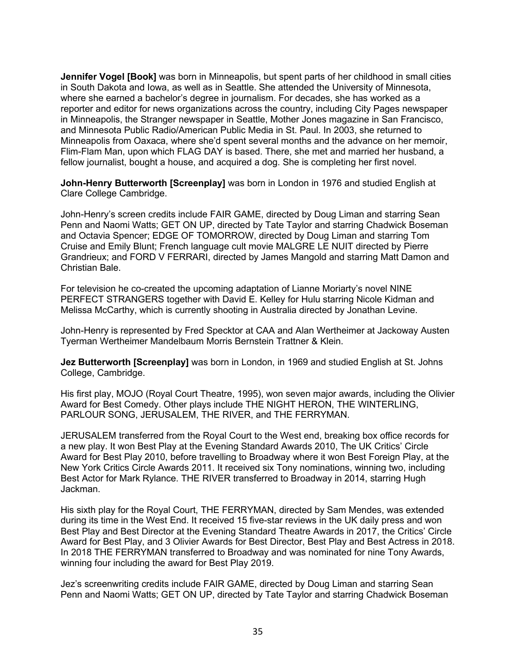**Jennifer Vogel [Book]** was born in Minneapolis, but spent parts of her childhood in small cities in South Dakota and Iowa, as well as in Seattle. She attended the University of Minnesota, where she earned a bachelor's degree in journalism. For decades, she has worked as a reporter and editor for news organizations across the country, including City Pages newspaper in Minneapolis, the Stranger newspaper in Seattle, Mother Jones magazine in San Francisco, and Minnesota Public Radio/American Public Media in St. Paul. In 2003, she returned to Minneapolis from Oaxaca, where she'd spent several months and the advance on her memoir, Flim-Flam Man, upon which FLAG DAY is based. There, she met and married her husband, a fellow journalist, bought a house, and acquired a dog. She is completing her first novel.

**John-Henry Butterworth [Screenplay]** was born in London in 1976 and studied English at Clare College Cambridge.

John-Henry's screen credits include FAIR GAME, directed by Doug Liman and starring Sean Penn and Naomi Watts; GET ON UP, directed by Tate Taylor and starring Chadwick Boseman and Octavia Spencer; EDGE OF TOMORROW, directed by Doug Liman and starring Tom Cruise and Emily Blunt; French language cult movie MALGRE LE NUIT directed by Pierre Grandrieux; and FORD V FERRARI, directed by James Mangold and starring Matt Damon and Christian Bale.

For television he co-created the upcoming adaptation of Lianne Moriarty's novel NINE PERFECT STRANGERS together with David E. Kelley for Hulu starring Nicole Kidman and Melissa McCarthy, which is currently shooting in Australia directed by Jonathan Levine.

John-Henry is represented by Fred Specktor at CAA and Alan Wertheimer at Jackoway Austen Tyerman Wertheimer Mandelbaum Morris Bernstein Trattner & Klein.

**Jez Butterworth [Screenplay]** was born in London, in 1969 and studied English at St. Johns College, Cambridge.

His first play, MOJO (Royal Court Theatre, 1995), won seven major awards, including the Olivier Award for Best Comedy. Other plays include THE NIGHT HERON, THE WINTERLING, PARLOUR SONG, JERUSALEM, THE RIVER, and THE FERRYMAN.

JERUSALEM transferred from the Royal Court to the West end, breaking box office records for a new play. It won Best Play at the Evening Standard Awards 2010, The UK Critics' Circle Award for Best Play 2010, before travelling to Broadway where it won Best Foreign Play, at the New York Critics Circle Awards 2011. It received six Tony nominations, winning two, including Best Actor for Mark Rylance. THE RIVER transferred to Broadway in 2014, starring Hugh Jackman.

His sixth play for the Royal Court, THE FERRYMAN, directed by Sam Mendes, was extended during its time in the West End. It received 15 five-star reviews in the UK daily press and won Best Play and Best Director at the Evening Standard Theatre Awards in 2017, the Critics' Circle Award for Best Play, and 3 Olivier Awards for Best Director, Best Play and Best Actress in 2018. In 2018 THE FERRYMAN transferred to Broadway and was nominated for nine Tony Awards, winning four including the award for Best Play 2019.

Jez's screenwriting credits include FAIR GAME, directed by Doug Liman and starring Sean Penn and Naomi Watts; GET ON UP, directed by Tate Taylor and starring Chadwick Boseman